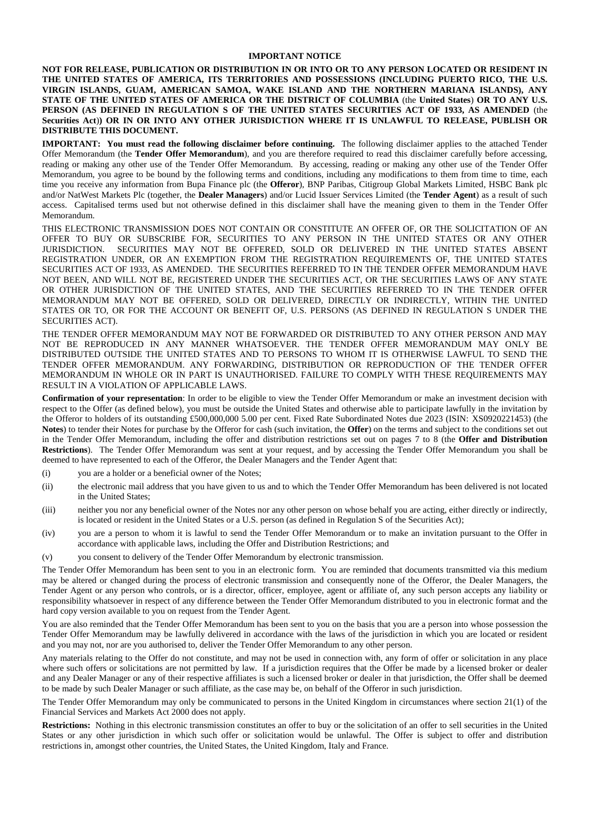# **IMPORTANT NOTICE**

**NOT FOR RELEASE, PUBLICATION OR DISTRIBUTION IN OR INTO OR TO ANY PERSON LOCATED OR RESIDENT IN THE UNITED STATES OF AMERICA, ITS TERRITORIES AND POSSESSIONS (INCLUDING PUERTO RICO, THE U.S. VIRGIN ISLANDS, GUAM, AMERICAN SAMOA, WAKE ISLAND AND THE NORTHERN MARIANA ISLANDS), ANY STATE OF THE UNITED STATES OF AMERICA OR THE DISTRICT OF COLUMBIA** (the **United States**) **OR TO ANY U.S. PERSON (AS DEFINED IN REGULATION S OF THE UNITED STATES SECURITIES ACT OF 1933, AS AMENDED** (the **Securities Act**)**) OR IN OR INTO ANY OTHER JURISDICTION WHERE IT IS UNLAWFUL TO RELEASE, PUBLISH OR DISTRIBUTE THIS DOCUMENT.**

**IMPORTANT: You must read the following disclaimer before continuing.** The following disclaimer applies to the attached Tender Offer Memorandum (the **Tender Offer Memorandum**), and you are therefore required to read this disclaimer carefully before accessing, reading or making any other use of the Tender Offer Memorandum. By accessing, reading or making any other use of the Tender Offer Memorandum, you agree to be bound by the following terms and conditions, including any modifications to them from time to time, each time you receive any information from Bupa Finance plc (the **Offeror**), BNP Paribas, Citigroup Global Markets Limited, HSBC Bank plc and/or NatWest Markets Plc (together, the **Dealer Managers**) and/or Lucid Issuer Services Limited (the **Tender Agent**) as a result of such access. Capitalised terms used but not otherwise defined in this disclaimer shall have the meaning given to them in the Tender Offer Memorandum.

THIS ELECTRONIC TRANSMISSION DOES NOT CONTAIN OR CONSTITUTE AN OFFER OF, OR THE SOLICITATION OF AN OFFER TO BUY OR SUBSCRIBE FOR, SECURITIES TO ANY PERSON IN THE UNITED STATES OR ANY OTHER JURISDICTION. SECURITIES MAY NOT BE OFFERED, SOLD OR DELIVERED IN THE UNITED STATES ABSENT REGISTRATION UNDER, OR AN EXEMPTION FROM THE REGISTRATION REQUIREMENTS OF, THE UNITED STATES SECURITIES ACT OF 1933, AS AMENDED. THE SECURITIES REFERRED TO IN THE TENDER OFFER MEMORANDUM HAVE NOT BEEN, AND WILL NOT BE, REGISTERED UNDER THE SECURITIES ACT, OR THE SECURITIES LAWS OF ANY STATE OR OTHER JURISDICTION OF THE UNITED STATES, AND THE SECURITIES REFERRED TO IN THE TENDER OFFER MEMORANDUM MAY NOT BE OFFERED, SOLD OR DELIVERED, DIRECTLY OR INDIRECTLY, WITHIN THE UNITED STATES OR TO, OR FOR THE ACCOUNT OR BENEFIT OF, U.S. PERSONS (AS DEFINED IN REGULATION S UNDER THE SECURITIES ACT).

THE TENDER OFFER MEMORANDUM MAY NOT BE FORWARDED OR DISTRIBUTED TO ANY OTHER PERSON AND MAY NOT BE REPRODUCED IN ANY MANNER WHATSOEVER. THE TENDER OFFER MEMORANDUM MAY ONLY BE DISTRIBUTED OUTSIDE THE UNITED STATES AND TO PERSONS TO WHOM IT IS OTHERWISE LAWFUL TO SEND THE TENDER OFFER MEMORANDUM. ANY FORWARDING, DISTRIBUTION OR REPRODUCTION OF THE TENDER OFFER MEMORANDUM IN WHOLE OR IN PART IS UNAUTHORISED. FAILURE TO COMPLY WITH THESE REQUIREMENTS MAY RESULT IN A VIOLATION OF APPLICABLE LAWS.

**Confirmation of your representation**: In order to be eligible to view the Tender Offer Memorandum or make an investment decision with respect to the Offer (as defined below), you must be outside the United States and otherwise able to participate lawfully in the invitation by the Offeror to holders of its outstanding £500,000,000 5.00 per cent. Fixed Rate Subordinated Notes due 2023 (ISIN: XS0920221453) (the **Notes**) to tender their Notes for purchase by the Offeror for cash (such invitation, the **Offer**) on the terms and subject to the conditions set out in the Tender Offer Memorandum, including the offer and distribution restrictions set out on pages 7 to 8 (the **Offer and Distribution Restrictions**). The Tender Offer Memorandum was sent at your request, and by accessing the Tender Offer Memorandum you shall be deemed to have represented to each of the Offeror, the Dealer Managers and the Tender Agent that:

- (i) you are a holder or a beneficial owner of the Notes;
- (ii) the electronic mail address that you have given to us and to which the Tender Offer Memorandum has been delivered is not located in the United States;
- (iii) neither you nor any beneficial owner of the Notes nor any other person on whose behalf you are acting, either directly or indirectly, is located or resident in the United States or a U.S. person (as defined in Regulation S of the Securities Act);
- (iv) you are a person to whom it is lawful to send the Tender Offer Memorandum or to make an invitation pursuant to the Offer in accordance with applicable laws, including the Offer and Distribution Restrictions; and
- (v) you consent to delivery of the Tender Offer Memorandum by electronic transmission.

The Tender Offer Memorandum has been sent to you in an electronic form. You are reminded that documents transmitted via this medium may be altered or changed during the process of electronic transmission and consequently none of the Offeror, the Dealer Managers, the Tender Agent or any person who controls, or is a director, officer, employee, agent or affiliate of, any such person accepts any liability or responsibility whatsoever in respect of any difference between the Tender Offer Memorandum distributed to you in electronic format and the hard copy version available to you on request from the Tender Agent.

You are also reminded that the Tender Offer Memorandum has been sent to you on the basis that you are a person into whose possession the Tender Offer Memorandum may be lawfully delivered in accordance with the laws of the jurisdiction in which you are located or resident and you may not, nor are you authorised to, deliver the Tender Offer Memorandum to any other person.

Any materials relating to the Offer do not constitute, and may not be used in connection with, any form of offer or solicitation in any place where such offers or solicitations are not permitted by law. If a jurisdiction requires that the Offer be made by a licensed broker or dealer and any Dealer Manager or any of their respective affiliates is such a licensed broker or dealer in that jurisdiction, the Offer shall be deemed to be made by such Dealer Manager or such affiliate, as the case may be, on behalf of the Offeror in such jurisdiction.

The Tender Offer Memorandum may only be communicated to persons in the United Kingdom in circumstances where section 21(1) of the Financial Services and Markets Act 2000 does not apply.

**Restrictions:** Nothing in this electronic transmission constitutes an offer to buy or the solicitation of an offer to sell securities in the United States or any other jurisdiction in which such offer or solicitation would be unlawful. The Offer is subject to offer and distribution restrictions in, amongst other countries, the United States, the United Kingdom, Italy and France.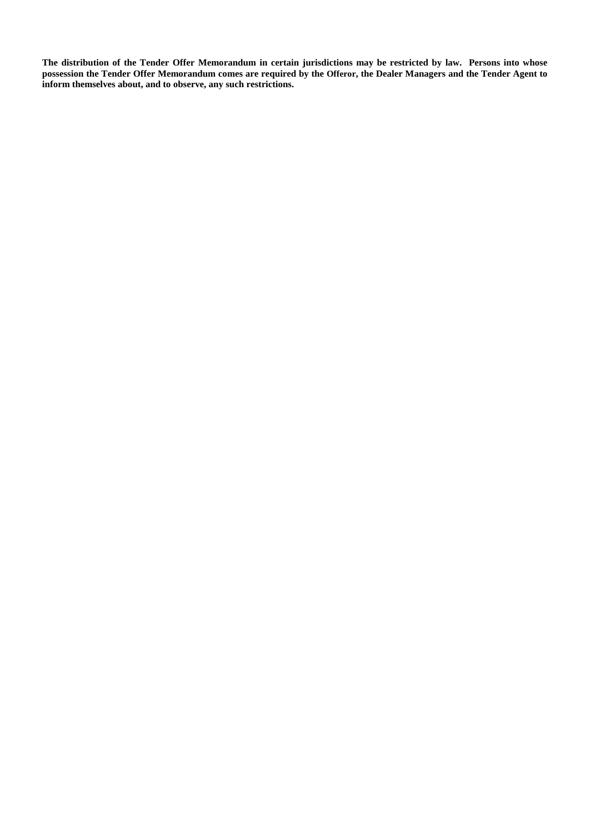**The distribution of the Tender Offer Memorandum in certain jurisdictions may be restricted by law. Persons into whose possession the Tender Offer Memorandum comes are required by the Offeror, the Dealer Managers and the Tender Agent to inform themselves about, and to observe, any such restrictions.**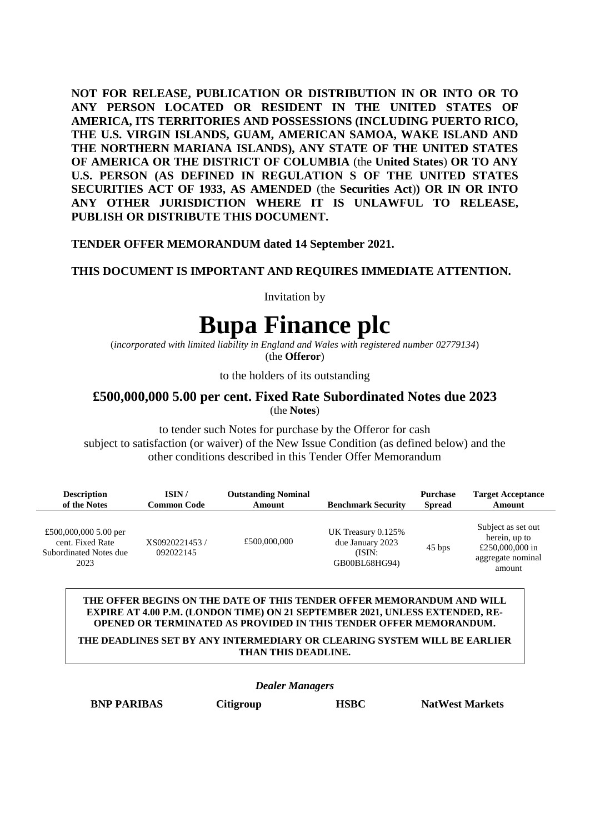**NOT FOR RELEASE, PUBLICATION OR DISTRIBUTION IN OR INTO OR TO ANY PERSON LOCATED OR RESIDENT IN THE UNITED STATES OF AMERICA, ITS TERRITORIES AND POSSESSIONS (INCLUDING PUERTO RICO, THE U.S. VIRGIN ISLANDS, GUAM, AMERICAN SAMOA, WAKE ISLAND AND THE NORTHERN MARIANA ISLANDS), ANY STATE OF THE UNITED STATES OF AMERICA OR THE DISTRICT OF COLUMBIA** (the **United States**) **OR TO ANY U.S. PERSON (AS DEFINED IN REGULATION S OF THE UNITED STATES SECURITIES ACT OF 1933, AS AMENDED** (the **Securities Act**)**) OR IN OR INTO ANY OTHER JURISDICTION WHERE IT IS UNLAWFUL TO RELEASE, PUBLISH OR DISTRIBUTE THIS DOCUMENT.**

# **TENDER OFFER MEMORANDUM dated 14 September 2021.**

# **THIS DOCUMENT IS IMPORTANT AND REQUIRES IMMEDIATE ATTENTION.**

Invitation by

# **Bupa Finance plc**

(*incorporated with limited liability in England and Wales with registered number 02779134*) (the **Offeror**)

to the holders of its outstanding

# **£500,000,000 5.00 per cent. Fixed Rate Subordinated Notes due 2023**

(the **Notes**)

to tender such Notes for purchase by the Offeror for cash subject to satisfaction (or waiver) of the New Issue Condition (as defined below) and the other conditions described in this Tender Offer Memorandum

| <b>Description</b>                                                          | ISIN/                      | <b>Outstanding Nominal</b> | <b>Benchmark Security</b>                                         | <b>Purchase</b> | <b>Target Acceptance</b>                                                              |
|-----------------------------------------------------------------------------|----------------------------|----------------------------|-------------------------------------------------------------------|-----------------|---------------------------------------------------------------------------------------|
| of the Notes                                                                | Common Code                | Amount                     |                                                                   | <b>Spread</b>   | Amount                                                                                |
| £500,000,000 5.00 per<br>cent. Fixed Rate<br>Subordinated Notes due<br>2023 | XS0920221453/<br>092022145 | £500,000,000               | UK Treasury 0.125%<br>due January 2023<br>(ISIN:<br>GB00BL68HG94) | $45$ bps        | Subject as set out<br>herein, up to<br>£250,000,000 in<br>aggregate nominal<br>amount |

# **THE OFFER BEGINS ON THE DATE OF THIS TENDER OFFER MEMORANDUM AND WILL EXPIRE AT 4.00 P.M. (LONDON TIME) ON 21 SEPTEMBER 2021, UNLESS EXTENDED, RE-OPENED OR TERMINATED AS PROVIDED IN THIS TENDER OFFER MEMORANDUM.**

**THE DEADLINES SET BY ANY INTERMEDIARY OR CLEARING SYSTEM WILL BE EARLIER THAN THIS DEADLINE.**

*Dealer Managers*

**BNP PARIBAS Citigroup HSBC NatWest Markets**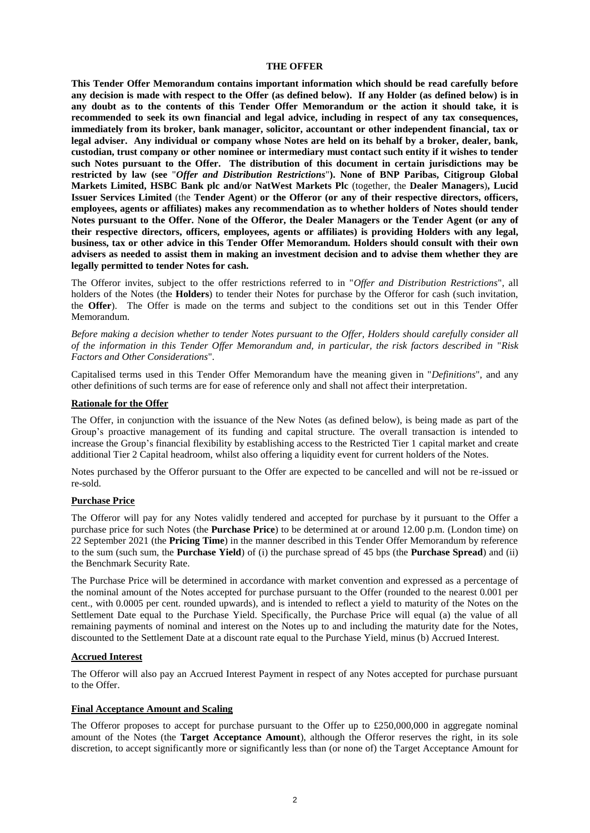# **THE OFFER**

**This Tender Offer Memorandum contains important information which should be read carefully before any decision is made with respect to the Offer (as defined below). If any Holder (as defined below) is in any doubt as to the contents of this Tender Offer Memorandum or the action it should take, it is recommended to seek its own financial and legal advice, including in respect of any tax consequences, immediately from its broker, bank manager, solicitor, accountant or other independent financial, tax or legal adviser. Any individual or company whose Notes are held on its behalf by a broker, dealer, bank, custodian, trust company or other nominee or intermediary must contact such entity if it wishes to tender such Notes pursuant to the Offer. The distribution of this document in certain jurisdictions may be restricted by law (see** "*Offer and Distribution Restrictions*"**). None of BNP Paribas, Citigroup Global Markets Limited, HSBC Bank plc and/or NatWest Markets Plc** (together, the **Dealer Managers**)**, Lucid Issuer Services Limited** (the **Tender Agent**) **or the Offeror (or any of their respective directors, officers, employees, agents or affiliates) makes any recommendation as to whether holders of Notes should tender Notes pursuant to the Offer. None of the Offeror, the Dealer Managers or the Tender Agent (or any of their respective directors, officers, employees, agents or affiliates) is providing Holders with any legal, business, tax or other advice in this Tender Offer Memorandum. Holders should consult with their own advisers as needed to assist them in making an investment decision and to advise them whether they are legally permitted to tender Notes for cash.**

The Offeror invites, subject to the offer restrictions referred to in "*Offer and Distribution Restrictions*", all holders of the Notes (the **Holders**) to tender their Notes for purchase by the Offeror for cash (such invitation, the **Offer**). The Offer is made on the terms and subject to the conditions set out in this Tender Offer Memorandum.

*Before making a decision whether to tender Notes pursuant to the Offer, Holders should carefully consider all of the information in this Tender Offer Memorandum and, in particular, the risk factors described in* "*Risk Factors and Other Considerations*"*.* 

Capitalised terms used in this Tender Offer Memorandum have the meaning given in "*Definitions*", and any other definitions of such terms are for ease of reference only and shall not affect their interpretation*.*

# **Rationale for the Offer**

The Offer, in conjunction with the issuance of the New Notes (as defined below), is being made as part of the Group's proactive management of its funding and capital structure. The overall transaction is intended to increase the Group's financial flexibility by establishing access to the Restricted Tier 1 capital market and create additional Tier 2 Capital headroom, whilst also offering a liquidity event for current holders of the Notes.

Notes purchased by the Offeror pursuant to the Offer are expected to be cancelled and will not be re-issued or re-sold.

# **Purchase Price**

The Offeror will pay for any Notes validly tendered and accepted for purchase by it pursuant to the Offer a purchase price for such Notes (the **Purchase Price**) to be determined at or around 12.00 p.m. (London time) on 22 September 2021 (the **Pricing Time**) in the manner described in this Tender Offer Memorandum by reference to the sum (such sum, the **Purchase Yield**) of (i) the purchase spread of 45 bps (the **Purchase Spread**) and (ii) the Benchmark Security Rate.

The Purchase Price will be determined in accordance with market convention and expressed as a percentage of the nominal amount of the Notes accepted for purchase pursuant to the Offer (rounded to the nearest 0.001 per cent., with 0.0005 per cent. rounded upwards), and is intended to reflect a yield to maturity of the Notes on the Settlement Date equal to the Purchase Yield. Specifically, the Purchase Price will equal (a) the value of all remaining payments of nominal and interest on the Notes up to and including the maturity date for the Notes, discounted to the Settlement Date at a discount rate equal to the Purchase Yield, minus (b) Accrued Interest.

# **Accrued Interest**

The Offeror will also pay an Accrued Interest Payment in respect of any Notes accepted for purchase pursuant to the Offer.

# **Final Acceptance Amount and Scaling**

The Offeror proposes to accept for purchase pursuant to the Offer up to £250,000,000 in aggregate nominal amount of the Notes (the **Target Acceptance Amount**), although the Offeror reserves the right, in its sole discretion, to accept significantly more or significantly less than (or none of) the Target Acceptance Amount for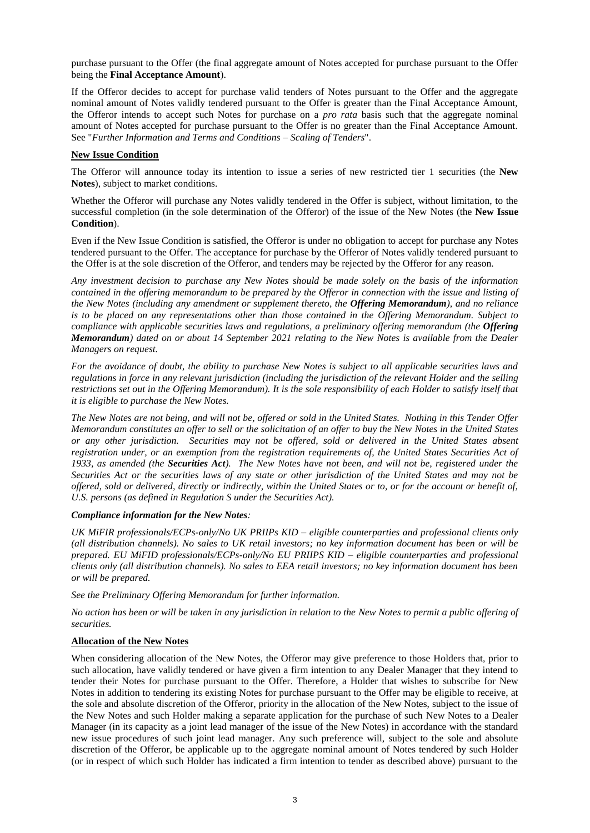purchase pursuant to the Offer (the final aggregate amount of Notes accepted for purchase pursuant to the Offer being the **Final Acceptance Amount**).

If the Offeror decides to accept for purchase valid tenders of Notes pursuant to the Offer and the aggregate nominal amount of Notes validly tendered pursuant to the Offer is greater than the Final Acceptance Amount, the Offeror intends to accept such Notes for purchase on a *pro rata* basis such that the aggregate nominal amount of Notes accepted for purchase pursuant to the Offer is no greater than the Final Acceptance Amount. See "*Further Information and Terms and Conditions – Scaling of Tenders*".

# **New Issue Condition**

The Offeror will announce today its intention to issue a series of new restricted tier 1 securities (the **New Notes**), subject to market conditions.

Whether the Offeror will purchase any Notes validly tendered in the Offer is subject, without limitation, to the successful completion (in the sole determination of the Offeror) of the issue of the New Notes (the **New Issue Condition**).

Even if the New Issue Condition is satisfied, the Offeror is under no obligation to accept for purchase any Notes tendered pursuant to the Offer. The acceptance for purchase by the Offeror of Notes validly tendered pursuant to the Offer is at the sole discretion of the Offeror, and tenders may be rejected by the Offeror for any reason.

*Any investment decision to purchase any New Notes should be made solely on the basis of the information contained in the offering memorandum to be prepared by the Offeror in connection with the issue and listing of the New Notes (including any amendment or supplement thereto, the Offering Memorandum), and no reliance is to be placed on any representations other than those contained in the Offering Memorandum. Subject to compliance with applicable securities laws and regulations, a preliminary offering memorandum (the Offering Memorandum) dated on or about 14 September 2021 relating to the New Notes is available from the Dealer Managers on request.*

*For the avoidance of doubt, the ability to purchase New Notes is subject to all applicable securities laws and regulations in force in any relevant jurisdiction (including the jurisdiction of the relevant Holder and the selling restrictions set out in the Offering Memorandum). It is the sole responsibility of each Holder to satisfy itself that it is eligible to purchase the New Notes.*

*The New Notes are not being, and will not be, offered or sold in the United States. Nothing in this Tender Offer Memorandum constitutes an offer to sell or the solicitation of an offer to buy the New Notes in the United States or any other jurisdiction. Securities may not be offered, sold or delivered in the United States absent registration under, or an exemption from the registration requirements of, the United States Securities Act of 1933, as amended (the Securities Act). The New Notes have not been, and will not be, registered under the Securities Act or the securities laws of any state or other jurisdiction of the United States and may not be offered, sold or delivered, directly or indirectly, within the United States or to, or for the account or benefit of, U.S. persons (as defined in Regulation S under the Securities Act).*

# *Compliance information for the New Notes:*

*UK MiFIR professionals/ECPs-only/No UK PRIIPs KID – eligible counterparties and professional clients only (all distribution channels). No sales to UK retail investors; no key information document has been or will be prepared. EU MiFID professionals/ECPs-only/No EU PRIIPS KID – eligible counterparties and professional clients only (all distribution channels). No sales to EEA retail investors; no key information document has been or will be prepared.*

*See the Preliminary Offering Memorandum for further information.*

*No action has been or will be taken in any jurisdiction in relation to the New Notes to permit a public offering of securities.*

# **Allocation of the New Notes**

When considering allocation of the New Notes, the Offeror may give preference to those Holders that, prior to such allocation, have validly tendered or have given a firm intention to any Dealer Manager that they intend to tender their Notes for purchase pursuant to the Offer. Therefore, a Holder that wishes to subscribe for New Notes in addition to tendering its existing Notes for purchase pursuant to the Offer may be eligible to receive, at the sole and absolute discretion of the Offeror, priority in the allocation of the New Notes, subject to the issue of the New Notes and such Holder making a separate application for the purchase of such New Notes to a Dealer Manager (in its capacity as a joint lead manager of the issue of the New Notes) in accordance with the standard new issue procedures of such joint lead manager. Any such preference will, subject to the sole and absolute discretion of the Offeror, be applicable up to the aggregate nominal amount of Notes tendered by such Holder (or in respect of which such Holder has indicated a firm intention to tender as described above) pursuant to the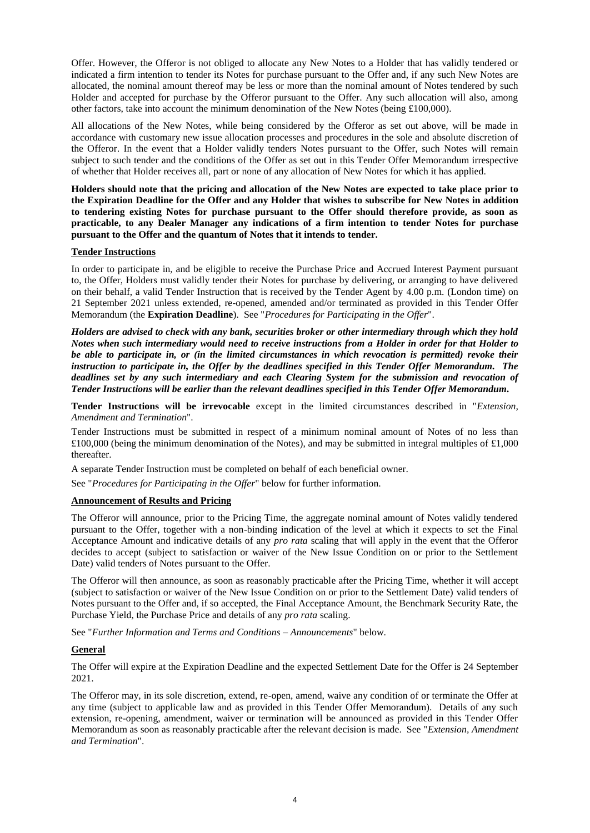Offer. However, the Offeror is not obliged to allocate any New Notes to a Holder that has validly tendered or indicated a firm intention to tender its Notes for purchase pursuant to the Offer and, if any such New Notes are allocated, the nominal amount thereof may be less or more than the nominal amount of Notes tendered by such Holder and accepted for purchase by the Offeror pursuant to the Offer. Any such allocation will also, among other factors, take into account the minimum denomination of the New Notes (being £100,000).

All allocations of the New Notes, while being considered by the Offeror as set out above, will be made in accordance with customary new issue allocation processes and procedures in the sole and absolute discretion of the Offeror. In the event that a Holder validly tenders Notes pursuant to the Offer, such Notes will remain subject to such tender and the conditions of the Offer as set out in this Tender Offer Memorandum irrespective of whether that Holder receives all, part or none of any allocation of New Notes for which it has applied.

**Holders should note that the pricing and allocation of the New Notes are expected to take place prior to the Expiration Deadline for the Offer and any Holder that wishes to subscribe for New Notes in addition to tendering existing Notes for purchase pursuant to the Offer should therefore provide, as soon as practicable, to any Dealer Manager any indications of a firm intention to tender Notes for purchase pursuant to the Offer and the quantum of Notes that it intends to tender.**

# **Tender Instructions**

In order to participate in, and be eligible to receive the Purchase Price and Accrued Interest Payment pursuant to, the Offer, Holders must validly tender their Notes for purchase by delivering, or arranging to have delivered on their behalf, a valid Tender Instruction that is received by the Tender Agent by 4.00 p.m. (London time) on 21 September 2021 unless extended, re-opened, amended and/or terminated as provided in this Tender Offer Memorandum (the **Expiration Deadline**). See "*Procedures for Participating in the Offer*".

*Holders are advised to check with any bank, securities broker or other intermediary through which they hold Notes when such intermediary would need to receive instructions from a Holder in order for that Holder to be able to participate in, or (in the limited circumstances in which revocation is permitted) revoke their instruction to participate in, the Offer by the deadlines specified in this Tender Offer Memorandum. The deadlines set by any such intermediary and each Clearing System for the submission and revocation of Tender Instructions will be earlier than the relevant deadlines specified in this Tender Offer Memorandum.*

**Tender Instructions will be irrevocable** except in the limited circumstances described in "*Extension, Amendment and Termination*".

Tender Instructions must be submitted in respect of a minimum nominal amount of Notes of no less than £100,000 (being the minimum denomination of the Notes), and may be submitted in integral multiples of £1,000 thereafter.

A separate Tender Instruction must be completed on behalf of each beneficial owner.

See "*Procedures for Participating in the Offer*" below for further information.

# **Announcement of Results and Pricing**

The Offeror will announce, prior to the Pricing Time, the aggregate nominal amount of Notes validly tendered pursuant to the Offer, together with a non-binding indication of the level at which it expects to set the Final Acceptance Amount and indicative details of any *pro rata* scaling that will apply in the event that the Offeror decides to accept (subject to satisfaction or waiver of the New Issue Condition on or prior to the Settlement Date) valid tenders of Notes pursuant to the Offer.

The Offeror will then announce, as soon as reasonably practicable after the Pricing Time, whether it will accept (subject to satisfaction or waiver of the New Issue Condition on or prior to the Settlement Date) valid tenders of Notes pursuant to the Offer and, if so accepted, the Final Acceptance Amount, the Benchmark Security Rate, the Purchase Yield, the Purchase Price and details of any *pro rata* scaling.

See "*Further Information and Terms and Conditions – Announcements*" below.

# **General**

The Offer will expire at the Expiration Deadline and the expected Settlement Date for the Offer is 24 September 2021.

The Offeror may, in its sole discretion, extend, re-open, amend, waive any condition of or terminate the Offer at any time (subject to applicable law and as provided in this Tender Offer Memorandum). Details of any such extension, re-opening, amendment, waiver or termination will be announced as provided in this Tender Offer Memorandum as soon as reasonably practicable after the relevant decision is made. See "*Extension, Amendment and Termination*".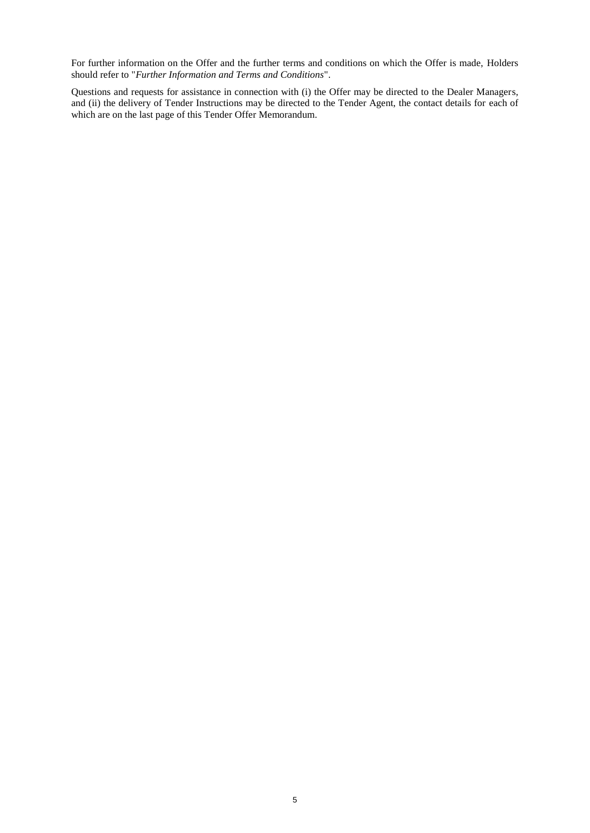For further information on the Offer and the further terms and conditions on which the Offer is made, Holders should refer to "*Further Information and Terms and Conditions*".

Questions and requests for assistance in connection with (i) the Offer may be directed to the Dealer Managers, and (ii) the delivery of Tender Instructions may be directed to the Tender Agent, the contact details for each of which are on the last page of this Tender Offer Memorandum.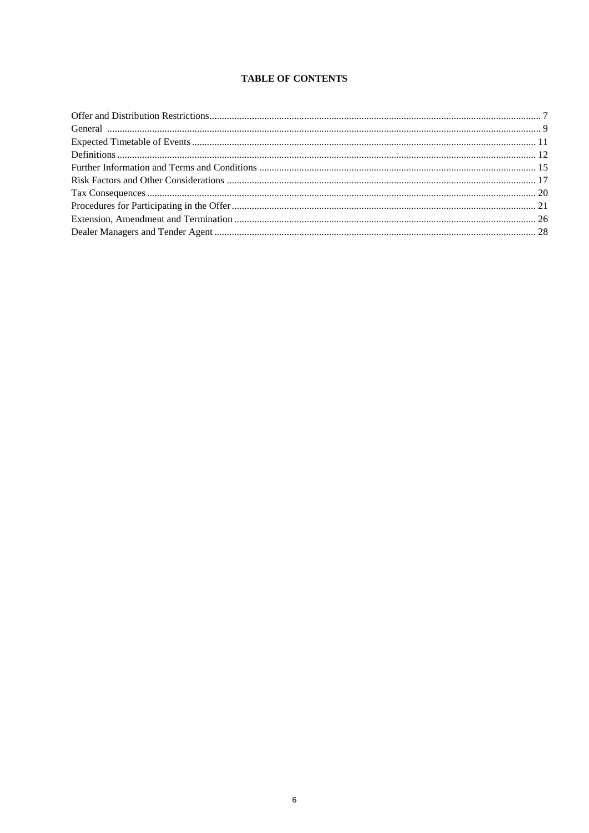# **TABLE OF CONTENTS**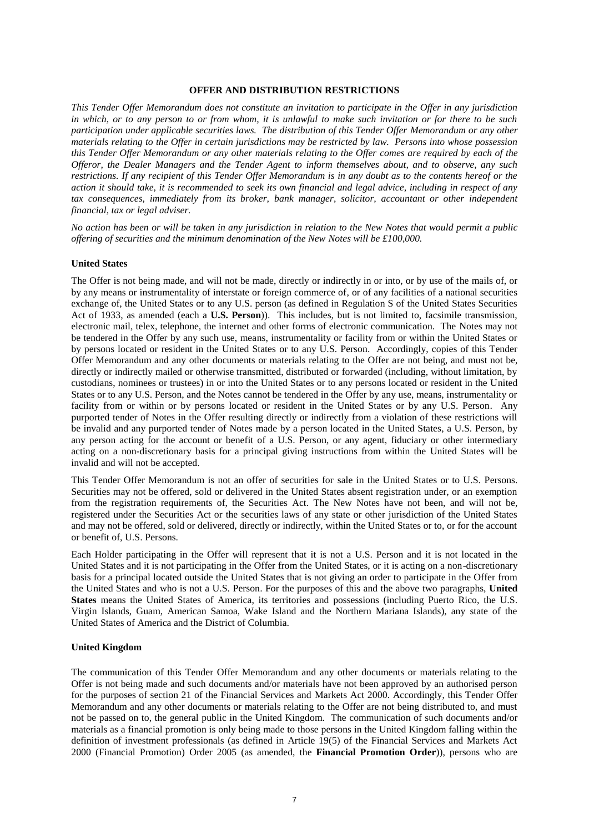# **OFFER AND DISTRIBUTION RESTRICTIONS**

*This Tender Offer Memorandum does not constitute an invitation to participate in the Offer in any jurisdiction in which, or to any person to or from whom, it is unlawful to make such invitation or for there to be such participation under applicable securities laws. The distribution of this Tender Offer Memorandum or any other materials relating to the Offer in certain jurisdictions may be restricted by law. Persons into whose possession this Tender Offer Memorandum or any other materials relating to the Offer comes are required by each of the Offeror, the Dealer Managers and the Tender Agent to inform themselves about, and to observe, any such restrictions. If any recipient of this Tender Offer Memorandum is in any doubt as to the contents hereof or the action it should take, it is recommended to seek its own financial and legal advice, including in respect of any tax consequences, immediately from its broker, bank manager, solicitor, accountant or other independent financial, tax or legal adviser.*

*No action has been or will be taken in any jurisdiction in relation to the New Notes that would permit a public offering of securities and the minimum denomination of the New Notes will be £100,000.*

#### **United States**

The Offer is not being made, and will not be made, directly or indirectly in or into, or by use of the mails of, or by any means or instrumentality of interstate or foreign commerce of, or of any facilities of a national securities exchange of, the United States or to any U.S. person (as defined in Regulation S of the United States Securities Act of 1933, as amended (each a **U.S. Person**)). This includes, but is not limited to, facsimile transmission, electronic mail, telex, telephone, the internet and other forms of electronic communication. The Notes may not be tendered in the Offer by any such use, means, instrumentality or facility from or within the United States or by persons located or resident in the United States or to any U.S. Person. Accordingly, copies of this Tender Offer Memorandum and any other documents or materials relating to the Offer are not being, and must not be, directly or indirectly mailed or otherwise transmitted, distributed or forwarded (including, without limitation, by custodians, nominees or trustees) in or into the United States or to any persons located or resident in the United States or to any U.S. Person, and the Notes cannot be tendered in the Offer by any use, means, instrumentality or facility from or within or by persons located or resident in the United States or by any U.S. Person. Any purported tender of Notes in the Offer resulting directly or indirectly from a violation of these restrictions will be invalid and any purported tender of Notes made by a person located in the United States, a U.S. Person, by any person acting for the account or benefit of a U.S. Person, or any agent, fiduciary or other intermediary acting on a non-discretionary basis for a principal giving instructions from within the United States will be invalid and will not be accepted.

This Tender Offer Memorandum is not an offer of securities for sale in the United States or to U.S. Persons. Securities may not be offered, sold or delivered in the United States absent registration under, or an exemption from the registration requirements of, the Securities Act. The New Notes have not been, and will not be, registered under the Securities Act or the securities laws of any state or other jurisdiction of the United States and may not be offered, sold or delivered, directly or indirectly, within the United States or to, or for the account or benefit of, U.S. Persons.

Each Holder participating in the Offer will represent that it is not a U.S. Person and it is not located in the United States and it is not participating in the Offer from the United States, or it is acting on a non-discretionary basis for a principal located outside the United States that is not giving an order to participate in the Offer from the United States and who is not a U.S. Person. For the purposes of this and the above two paragraphs, **United States** means the United States of America, its territories and possessions (including Puerto Rico, the U.S. Virgin Islands, Guam, American Samoa, Wake Island and the Northern Mariana Islands), any state of the United States of America and the District of Columbia.

# **United Kingdom**

The communication of this Tender Offer Memorandum and any other documents or materials relating to the Offer is not being made and such documents and/or materials have not been approved by an authorised person for the purposes of section 21 of the Financial Services and Markets Act 2000. Accordingly, this Tender Offer Memorandum and any other documents or materials relating to the Offer are not being distributed to, and must not be passed on to, the general public in the United Kingdom. The communication of such documents and/or materials as a financial promotion is only being made to those persons in the United Kingdom falling within the definition of investment professionals (as defined in Article 19(5) of the Financial Services and Markets Act 2000 (Financial Promotion) Order 2005 (as amended, the **Financial Promotion Order**)), persons who are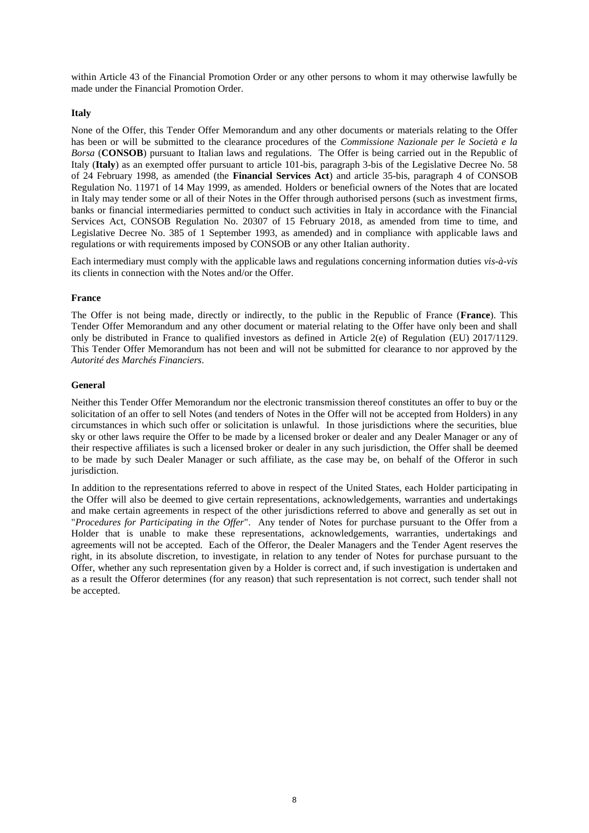within Article 43 of the Financial Promotion Order or any other persons to whom it may otherwise lawfully be made under the Financial Promotion Order.

# **Italy**

None of the Offer, this Tender Offer Memorandum and any other documents or materials relating to the Offer has been or will be submitted to the clearance procedures of the *Commissione Nazionale per le Società e la Borsa* (**CONSOB**) pursuant to Italian laws and regulations. The Offer is being carried out in the Republic of Italy (**Italy**) as an exempted offer pursuant to article 101-bis, paragraph 3-bis of the Legislative Decree No. 58 of 24 February 1998, as amended (the **Financial Services Act**) and article 35-bis, paragraph 4 of CONSOB Regulation No. 11971 of 14 May 1999, as amended. Holders or beneficial owners of the Notes that are located in Italy may tender some or all of their Notes in the Offer through authorised persons (such as investment firms, banks or financial intermediaries permitted to conduct such activities in Italy in accordance with the Financial Services Act, CONSOB Regulation No. 20307 of 15 February 2018, as amended from time to time, and Legislative Decree No. 385 of 1 September 1993, as amended) and in compliance with applicable laws and regulations or with requirements imposed by CONSOB or any other Italian authority.

Each intermediary must comply with the applicable laws and regulations concerning information duties *vis-à-vis* its clients in connection with the Notes and/or the Offer.

# **France**

The Offer is not being made, directly or indirectly, to the public in the Republic of France (**France**). This Tender Offer Memorandum and any other document or material relating to the Offer have only been and shall only be distributed in France to qualified investors as defined in Article 2(e) of Regulation (EU) 2017/1129. This Tender Offer Memorandum has not been and will not be submitted for clearance to nor approved by the *Autorité des Marchés Financiers*.

# **General**

Neither this Tender Offer Memorandum nor the electronic transmission thereof constitutes an offer to buy or the solicitation of an offer to sell Notes (and tenders of Notes in the Offer will not be accepted from Holders) in any circumstances in which such offer or solicitation is unlawful. In those jurisdictions where the securities, blue sky or other laws require the Offer to be made by a licensed broker or dealer and any Dealer Manager or any of their respective affiliates is such a licensed broker or dealer in any such jurisdiction, the Offer shall be deemed to be made by such Dealer Manager or such affiliate, as the case may be, on behalf of the Offeror in such jurisdiction.

In addition to the representations referred to above in respect of the United States, each Holder participating in the Offer will also be deemed to give certain representations, acknowledgements, warranties and undertakings and make certain agreements in respect of the other jurisdictions referred to above and generally as set out in "*Procedures for Participating in the Offer*". Any tender of Notes for purchase pursuant to the Offer from a Holder that is unable to make these representations, acknowledgements, warranties, undertakings and agreements will not be accepted. Each of the Offeror, the Dealer Managers and the Tender Agent reserves the right, in its absolute discretion, to investigate, in relation to any tender of Notes for purchase pursuant to the Offer, whether any such representation given by a Holder is correct and, if such investigation is undertaken and as a result the Offeror determines (for any reason) that such representation is not correct, such tender shall not be accepted.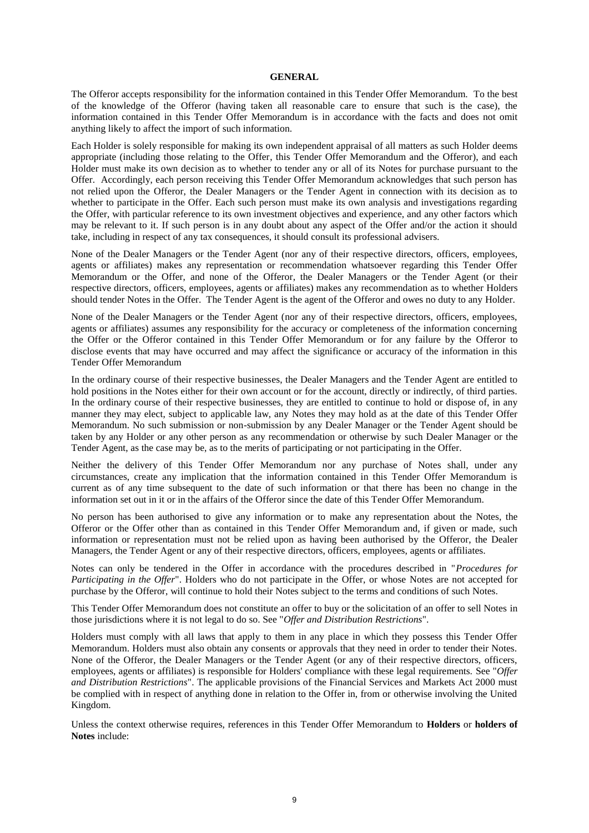#### **GENERAL**

The Offeror accepts responsibility for the information contained in this Tender Offer Memorandum. To the best of the knowledge of the Offeror (having taken all reasonable care to ensure that such is the case), the information contained in this Tender Offer Memorandum is in accordance with the facts and does not omit anything likely to affect the import of such information.

Each Holder is solely responsible for making its own independent appraisal of all matters as such Holder deems appropriate (including those relating to the Offer, this Tender Offer Memorandum and the Offeror), and each Holder must make its own decision as to whether to tender any or all of its Notes for purchase pursuant to the Offer. Accordingly, each person receiving this Tender Offer Memorandum acknowledges that such person has not relied upon the Offeror, the Dealer Managers or the Tender Agent in connection with its decision as to whether to participate in the Offer. Each such person must make its own analysis and investigations regarding the Offer, with particular reference to its own investment objectives and experience, and any other factors which may be relevant to it. If such person is in any doubt about any aspect of the Offer and/or the action it should take, including in respect of any tax consequences, it should consult its professional advisers.

None of the Dealer Managers or the Tender Agent (nor any of their respective directors, officers, employees, agents or affiliates) makes any representation or recommendation whatsoever regarding this Tender Offer Memorandum or the Offer, and none of the Offeror, the Dealer Managers or the Tender Agent (or their respective directors, officers, employees, agents or affiliates) makes any recommendation as to whether Holders should tender Notes in the Offer. The Tender Agent is the agent of the Offeror and owes no duty to any Holder.

None of the Dealer Managers or the Tender Agent (nor any of their respective directors, officers, employees, agents or affiliates) assumes any responsibility for the accuracy or completeness of the information concerning the Offer or the Offeror contained in this Tender Offer Memorandum or for any failure by the Offeror to disclose events that may have occurred and may affect the significance or accuracy of the information in this Tender Offer Memorandum

In the ordinary course of their respective businesses, the Dealer Managers and the Tender Agent are entitled to hold positions in the Notes either for their own account or for the account, directly or indirectly, of third parties. In the ordinary course of their respective businesses, they are entitled to continue to hold or dispose of, in any manner they may elect, subject to applicable law, any Notes they may hold as at the date of this Tender Offer Memorandum. No such submission or non-submission by any Dealer Manager or the Tender Agent should be taken by any Holder or any other person as any recommendation or otherwise by such Dealer Manager or the Tender Agent, as the case may be, as to the merits of participating or not participating in the Offer.

Neither the delivery of this Tender Offer Memorandum nor any purchase of Notes shall, under any circumstances, create any implication that the information contained in this Tender Offer Memorandum is current as of any time subsequent to the date of such information or that there has been no change in the information set out in it or in the affairs of the Offeror since the date of this Tender Offer Memorandum.

No person has been authorised to give any information or to make any representation about the Notes, the Offeror or the Offer other than as contained in this Tender Offer Memorandum and, if given or made, such information or representation must not be relied upon as having been authorised by the Offeror, the Dealer Managers, the Tender Agent or any of their respective directors, officers, employees, agents or affiliates.

Notes can only be tendered in the Offer in accordance with the procedures described in "*Procedures for Participating in the Offer*". Holders who do not participate in the Offer, or whose Notes are not accepted for purchase by the Offeror, will continue to hold their Notes subject to the terms and conditions of such Notes.

This Tender Offer Memorandum does not constitute an offer to buy or the solicitation of an offer to sell Notes in those jurisdictions where it is not legal to do so. See "*Offer and Distribution Restrictions*".

Holders must comply with all laws that apply to them in any place in which they possess this Tender Offer Memorandum. Holders must also obtain any consents or approvals that they need in order to tender their Notes. None of the Offeror, the Dealer Managers or the Tender Agent (or any of their respective directors, officers, employees, agents or affiliates) is responsible for Holders' compliance with these legal requirements. See "*Offer and Distribution Restrictions*". The applicable provisions of the Financial Services and Markets Act 2000 must be complied with in respect of anything done in relation to the Offer in, from or otherwise involving the United Kingdom.

Unless the context otherwise requires, references in this Tender Offer Memorandum to **Holders** or **holders of Notes** include: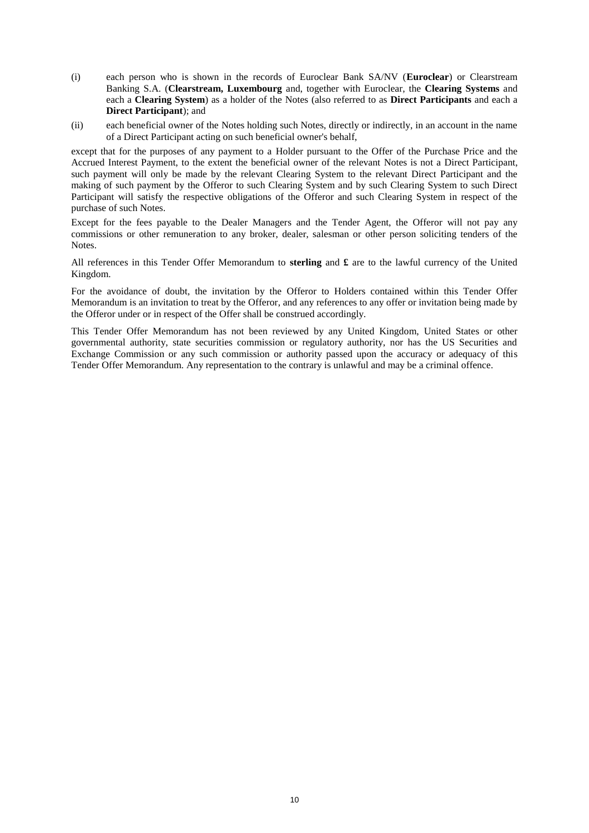- (i) each person who is shown in the records of Euroclear Bank SA/NV (**Euroclear**) or Clearstream Banking S.A. (**Clearstream, Luxembourg** and, together with Euroclear, the **Clearing Systems** and each a **Clearing System**) as a holder of the Notes (also referred to as **Direct Participants** and each a **Direct Participant**); and
- (ii) each beneficial owner of the Notes holding such Notes, directly or indirectly, in an account in the name of a Direct Participant acting on such beneficial owner's behalf,

except that for the purposes of any payment to a Holder pursuant to the Offer of the Purchase Price and the Accrued Interest Payment, to the extent the beneficial owner of the relevant Notes is not a Direct Participant, such payment will only be made by the relevant Clearing System to the relevant Direct Participant and the making of such payment by the Offeror to such Clearing System and by such Clearing System to such Direct Participant will satisfy the respective obligations of the Offeror and such Clearing System in respect of the purchase of such Notes.

Except for the fees payable to the Dealer Managers and the Tender Agent, the Offeror will not pay any commissions or other remuneration to any broker, dealer, salesman or other person soliciting tenders of the Notes.

All references in this Tender Offer Memorandum to **sterling** and **£** are to the lawful currency of the United Kingdom.

For the avoidance of doubt, the invitation by the Offeror to Holders contained within this Tender Offer Memorandum is an invitation to treat by the Offeror, and any references to any offer or invitation being made by the Offeror under or in respect of the Offer shall be construed accordingly.

This Tender Offer Memorandum has not been reviewed by any United Kingdom, United States or other governmental authority, state securities commission or regulatory authority, nor has the US Securities and Exchange Commission or any such commission or authority passed upon the accuracy or adequacy of this Tender Offer Memorandum. Any representation to the contrary is unlawful and may be a criminal offence.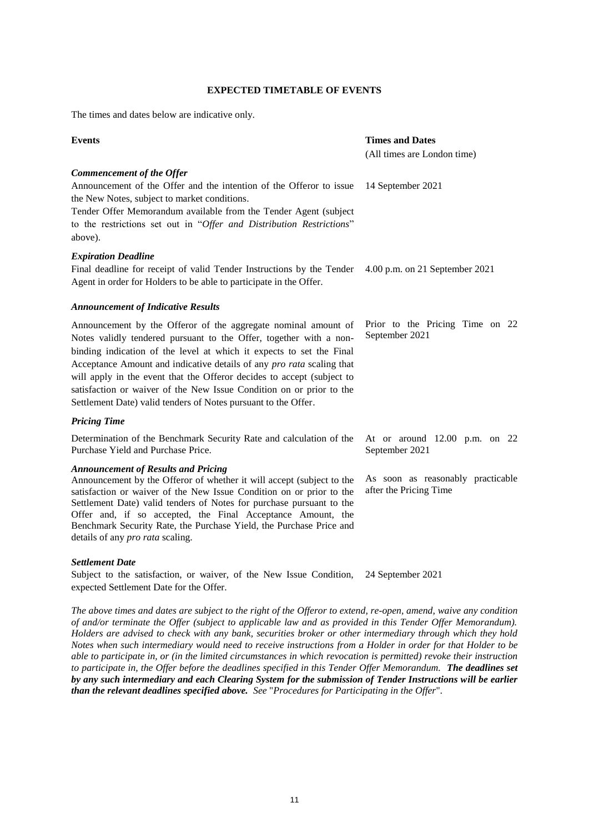# **EXPECTED TIMETABLE OF EVENTS**

The times and dates below are indicative only.

| <b>Events</b>                                                                                                                                                                                                                                                                                                                                                                                                                                                                                             | <b>Times and Dates</b><br>(All times are London time)       |
|-----------------------------------------------------------------------------------------------------------------------------------------------------------------------------------------------------------------------------------------------------------------------------------------------------------------------------------------------------------------------------------------------------------------------------------------------------------------------------------------------------------|-------------------------------------------------------------|
| Commencement of the Offer<br>Announcement of the Offer and the intention of the Offeror to issue<br>the New Notes, subject to market conditions.<br>Tender Offer Memorandum available from the Tender Agent (subject<br>to the restrictions set out in "Offer and Distribution Restrictions"<br>above).                                                                                                                                                                                                   | 14 September 2021                                           |
| <b>Expiration Deadline</b><br>Final deadline for receipt of valid Tender Instructions by the Tender<br>Agent in order for Holders to be able to participate in the Offer.                                                                                                                                                                                                                                                                                                                                 | 4.00 p.m. on 21 September 2021                              |
| <b>Announcement of Indicative Results</b>                                                                                                                                                                                                                                                                                                                                                                                                                                                                 |                                                             |
| Announcement by the Offeror of the aggregate nominal amount of<br>Notes validly tendered pursuant to the Offer, together with a non-<br>binding indication of the level at which it expects to set the Final<br>Acceptance Amount and indicative details of any pro rata scaling that<br>will apply in the event that the Offeror decides to accept (subject to<br>satisfaction or waiver of the New Issue Condition on or prior to the<br>Settlement Date) valid tenders of Notes pursuant to the Offer. | Prior to the Pricing Time on 22<br>September 2021           |
| <b>Pricing Time</b>                                                                                                                                                                                                                                                                                                                                                                                                                                                                                       |                                                             |
| Determination of the Benchmark Security Rate and calculation of the<br>Purchase Yield and Purchase Price.                                                                                                                                                                                                                                                                                                                                                                                                 | At or around 12.00 p.m. on 22<br>September 2021             |
| <b>Announcement of Results and Pricing</b><br>Announcement by the Offeror of whether it will accept (subject to the<br>satisfaction or waiver of the New Issue Condition on or prior to the<br>Settlement Date) valid tenders of Notes for purchase pursuant to the<br>Offer and, if so accepted, the Final Acceptance Amount, the<br>Benchmark Security Rate, the Purchase Yield, the Purchase Price and<br>details of any <i>pro rata</i> scaling.                                                      | As soon as reasonably practicable<br>after the Pricing Time |
| <b>Settlement Date</b>                                                                                                                                                                                                                                                                                                                                                                                                                                                                                    |                                                             |

Subject to the satisfaction, or waiver, of the New Issue Condition, 24 September 2021 expected Settlement Date for the Offer.

*The above times and dates are subject to the right of the Offeror to extend, re-open, amend, waive any condition of and/or terminate the Offer (subject to applicable law and as provided in this Tender Offer Memorandum). Holders are advised to check with any bank, securities broker or other intermediary through which they hold Notes when such intermediary would need to receive instructions from a Holder in order for that Holder to be able to participate in, or (in the limited circumstances in which revocation is permitted) revoke their instruction to participate in, the Offer before the deadlines specified in this Tender Offer Memorandum. The deadlines set by any such intermediary and each Clearing System for the submission of Tender Instructions will be earlier than the relevant deadlines specified above. See* "*Procedures for Participating in the Offer*"*.*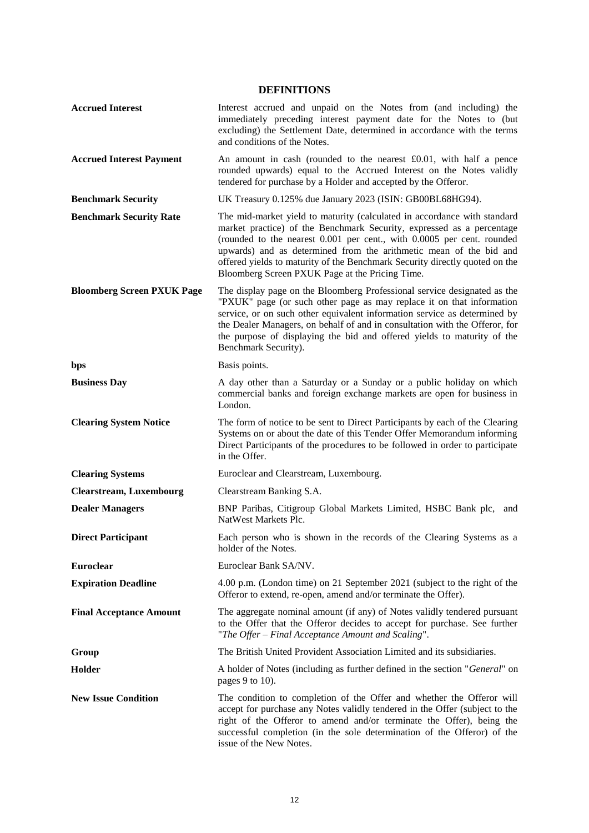# **DEFINITIONS**

| <b>Accrued Interest</b>           | Interest accrued and unpaid on the Notes from (and including) the<br>immediately preceding interest payment date for the Notes to (but<br>excluding) the Settlement Date, determined in accordance with the terms<br>and conditions of the Notes.                                                                                                                                                                                   |  |  |  |
|-----------------------------------|-------------------------------------------------------------------------------------------------------------------------------------------------------------------------------------------------------------------------------------------------------------------------------------------------------------------------------------------------------------------------------------------------------------------------------------|--|--|--|
| <b>Accrued Interest Payment</b>   | An amount in cash (rounded to the nearest £0.01, with half a pence<br>rounded upwards) equal to the Accrued Interest on the Notes validly<br>tendered for purchase by a Holder and accepted by the Offeror.                                                                                                                                                                                                                         |  |  |  |
| <b>Benchmark Security</b>         | UK Treasury 0.125% due January 2023 (ISIN: GB00BL68HG94).                                                                                                                                                                                                                                                                                                                                                                           |  |  |  |
| <b>Benchmark Security Rate</b>    | The mid-market yield to maturity (calculated in accordance with standard<br>market practice) of the Benchmark Security, expressed as a percentage<br>(rounded to the nearest 0.001 per cent., with 0.0005 per cent. rounded<br>upwards) and as determined from the arithmetic mean of the bid and<br>offered yields to maturity of the Benchmark Security directly quoted on the<br>Bloomberg Screen PXUK Page at the Pricing Time. |  |  |  |
| <b>Bloomberg Screen PXUK Page</b> | The display page on the Bloomberg Professional service designated as the<br>"PXUK" page (or such other page as may replace it on that information<br>service, or on such other equivalent information service as determined by<br>the Dealer Managers, on behalf of and in consultation with the Offeror, for<br>the purpose of displaying the bid and offered yields to maturity of the<br>Benchmark Security).                    |  |  |  |
| bps                               | Basis points.                                                                                                                                                                                                                                                                                                                                                                                                                       |  |  |  |
| <b>Business Day</b>               | A day other than a Saturday or a Sunday or a public holiday on which<br>commercial banks and foreign exchange markets are open for business in<br>London.                                                                                                                                                                                                                                                                           |  |  |  |
| <b>Clearing System Notice</b>     | The form of notice to be sent to Direct Participants by each of the Clearing<br>Systems on or about the date of this Tender Offer Memorandum informing<br>Direct Participants of the procedures to be followed in order to participate<br>in the Offer.                                                                                                                                                                             |  |  |  |
| <b>Clearing Systems</b>           | Euroclear and Clearstream, Luxembourg.                                                                                                                                                                                                                                                                                                                                                                                              |  |  |  |
| <b>Clearstream, Luxembourg</b>    | Clearstream Banking S.A.                                                                                                                                                                                                                                                                                                                                                                                                            |  |  |  |
| <b>Dealer Managers</b>            | BNP Paribas, Citigroup Global Markets Limited, HSBC Bank plc,<br>and<br>NatWest Markets Plc.                                                                                                                                                                                                                                                                                                                                        |  |  |  |
| <b>Direct Participant</b>         | Each person who is shown in the records of the Clearing Systems as a<br>holder of the Notes.                                                                                                                                                                                                                                                                                                                                        |  |  |  |
| Euroclear                         | Euroclear Bank SA/NV.                                                                                                                                                                                                                                                                                                                                                                                                               |  |  |  |
| <b>Expiration Deadline</b>        | 4.00 p.m. (London time) on 21 September 2021 (subject to the right of the<br>Offeror to extend, re-open, amend and/or terminate the Offer).                                                                                                                                                                                                                                                                                         |  |  |  |
| <b>Final Acceptance Amount</b>    | The aggregate nominal amount (if any) of Notes validly tendered pursuant<br>to the Offer that the Offeror decides to accept for purchase. See further<br>"The Offer – Final Acceptance Amount and Scaling".                                                                                                                                                                                                                         |  |  |  |
| Group                             | The British United Provident Association Limited and its subsidiaries.                                                                                                                                                                                                                                                                                                                                                              |  |  |  |
| Holder                            | A holder of Notes (including as further defined in the section "General" on<br>pages 9 to 10).                                                                                                                                                                                                                                                                                                                                      |  |  |  |
| <b>New Issue Condition</b>        | The condition to completion of the Offer and whether the Offeror will<br>accept for purchase any Notes validly tendered in the Offer (subject to the<br>right of the Offeror to amend and/or terminate the Offer), being the<br>successful completion (in the sole determination of the Offeror) of the<br>issue of the New Notes.                                                                                                  |  |  |  |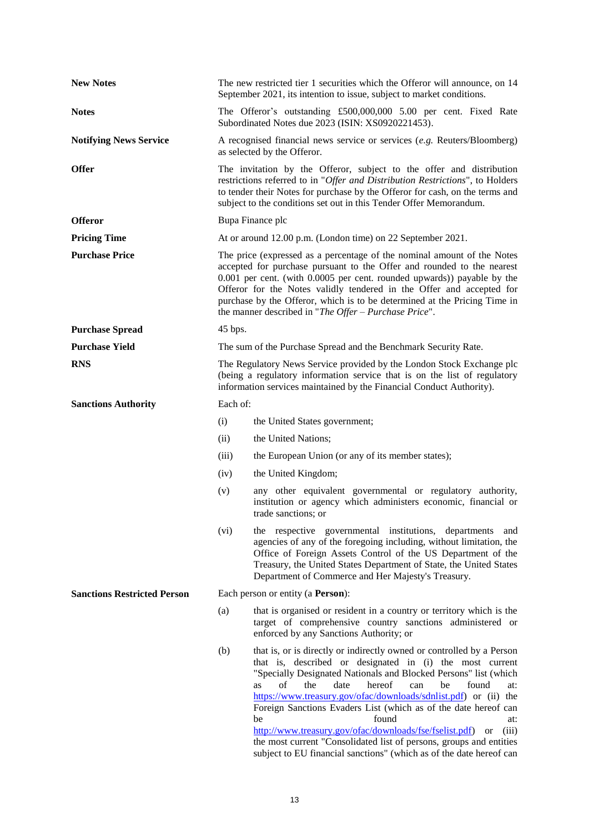| <b>New Notes</b>                   |                                                                                                                                                                                                                                                                                                                                                                                                                                            | The new restricted tier 1 securities which the Offeror will announce, on 14<br>September 2021, its intention to issue, subject to market conditions.                                                                                                                                                                                                                                                                                                                                                                                                                                                                                                                |  |  |  |  |
|------------------------------------|--------------------------------------------------------------------------------------------------------------------------------------------------------------------------------------------------------------------------------------------------------------------------------------------------------------------------------------------------------------------------------------------------------------------------------------------|---------------------------------------------------------------------------------------------------------------------------------------------------------------------------------------------------------------------------------------------------------------------------------------------------------------------------------------------------------------------------------------------------------------------------------------------------------------------------------------------------------------------------------------------------------------------------------------------------------------------------------------------------------------------|--|--|--|--|
| <b>Notes</b>                       |                                                                                                                                                                                                                                                                                                                                                                                                                                            | The Offeror's outstanding £500,000,000 5.00 per cent. Fixed Rate<br>Subordinated Notes due 2023 (ISIN: XS0920221453).                                                                                                                                                                                                                                                                                                                                                                                                                                                                                                                                               |  |  |  |  |
| <b>Notifying News Service</b>      | A recognised financial news service or services (e.g. Reuters/Bloomberg)<br>as selected by the Offeror.                                                                                                                                                                                                                                                                                                                                    |                                                                                                                                                                                                                                                                                                                                                                                                                                                                                                                                                                                                                                                                     |  |  |  |  |
| <b>Offer</b>                       |                                                                                                                                                                                                                                                                                                                                                                                                                                            | The invitation by the Offeror, subject to the offer and distribution<br>restrictions referred to in "Offer and Distribution Restrictions", to Holders<br>to tender their Notes for purchase by the Offeror for cash, on the terms and<br>subject to the conditions set out in this Tender Offer Memorandum.                                                                                                                                                                                                                                                                                                                                                         |  |  |  |  |
| <b>Offeror</b>                     | Bupa Finance plc                                                                                                                                                                                                                                                                                                                                                                                                                           |                                                                                                                                                                                                                                                                                                                                                                                                                                                                                                                                                                                                                                                                     |  |  |  |  |
| <b>Pricing Time</b>                | At or around 12.00 p.m. (London time) on 22 September 2021.                                                                                                                                                                                                                                                                                                                                                                                |                                                                                                                                                                                                                                                                                                                                                                                                                                                                                                                                                                                                                                                                     |  |  |  |  |
| <b>Purchase Price</b>              | The price (expressed as a percentage of the nominal amount of the Notes<br>accepted for purchase pursuant to the Offer and rounded to the nearest<br>0.001 per cent. (with 0.0005 per cent. rounded upwards)) payable by the<br>Offeror for the Notes validly tendered in the Offer and accepted for<br>purchase by the Offeror, which is to be determined at the Pricing Time in<br>the manner described in "The Offer - Purchase Price". |                                                                                                                                                                                                                                                                                                                                                                                                                                                                                                                                                                                                                                                                     |  |  |  |  |
| <b>Purchase Spread</b>             | 45 bps.                                                                                                                                                                                                                                                                                                                                                                                                                                    |                                                                                                                                                                                                                                                                                                                                                                                                                                                                                                                                                                                                                                                                     |  |  |  |  |
| <b>Purchase Yield</b>              | The sum of the Purchase Spread and the Benchmark Security Rate.                                                                                                                                                                                                                                                                                                                                                                            |                                                                                                                                                                                                                                                                                                                                                                                                                                                                                                                                                                                                                                                                     |  |  |  |  |
| <b>RNS</b>                         | The Regulatory News Service provided by the London Stock Exchange plc<br>(being a regulatory information service that is on the list of regulatory<br>information services maintained by the Financial Conduct Authority).                                                                                                                                                                                                                 |                                                                                                                                                                                                                                                                                                                                                                                                                                                                                                                                                                                                                                                                     |  |  |  |  |
| <b>Sanctions Authority</b>         | Each of:                                                                                                                                                                                                                                                                                                                                                                                                                                   |                                                                                                                                                                                                                                                                                                                                                                                                                                                                                                                                                                                                                                                                     |  |  |  |  |
|                                    | (i)                                                                                                                                                                                                                                                                                                                                                                                                                                        | the United States government;                                                                                                                                                                                                                                                                                                                                                                                                                                                                                                                                                                                                                                       |  |  |  |  |
|                                    | (ii)                                                                                                                                                                                                                                                                                                                                                                                                                                       | the United Nations;                                                                                                                                                                                                                                                                                                                                                                                                                                                                                                                                                                                                                                                 |  |  |  |  |
|                                    | (iii)                                                                                                                                                                                                                                                                                                                                                                                                                                      | the European Union (or any of its member states);                                                                                                                                                                                                                                                                                                                                                                                                                                                                                                                                                                                                                   |  |  |  |  |
|                                    | (iv)                                                                                                                                                                                                                                                                                                                                                                                                                                       | the United Kingdom;                                                                                                                                                                                                                                                                                                                                                                                                                                                                                                                                                                                                                                                 |  |  |  |  |
|                                    | (v)                                                                                                                                                                                                                                                                                                                                                                                                                                        | any other equivalent governmental or regulatory authority,<br>institution or agency which administers economic, financial or<br>trade sanctions; or                                                                                                                                                                                                                                                                                                                                                                                                                                                                                                                 |  |  |  |  |
|                                    | (vi)                                                                                                                                                                                                                                                                                                                                                                                                                                       | the respective governmental institutions, departments and<br>agencies of any of the foregoing including, without limitation, the<br>Office of Foreign Assets Control of the US Department of the<br>Treasury, the United States Department of State, the United States<br>Department of Commerce and Her Majesty's Treasury.                                                                                                                                                                                                                                                                                                                                        |  |  |  |  |
| <b>Sanctions Restricted Person</b> | Each person or entity (a <b>Person</b> ):                                                                                                                                                                                                                                                                                                                                                                                                  |                                                                                                                                                                                                                                                                                                                                                                                                                                                                                                                                                                                                                                                                     |  |  |  |  |
|                                    | (a)                                                                                                                                                                                                                                                                                                                                                                                                                                        | that is organised or resident in a country or territory which is the<br>target of comprehensive country sanctions administered or<br>enforced by any Sanctions Authority; or                                                                                                                                                                                                                                                                                                                                                                                                                                                                                        |  |  |  |  |
|                                    | (b)                                                                                                                                                                                                                                                                                                                                                                                                                                        | that is, or is directly or indirectly owned or controlled by a Person<br>that is, described or designated in (i) the most current<br>"Specially Designated Nationals and Blocked Persons" list (which<br>of<br>the<br>date<br>hereof<br>be<br>found<br>as<br>can<br>at:<br>https://www.treasury.gov/ofac/downloads/sdnlist.pdf) or (ii) the<br>Foreign Sanctions Evaders List (which as of the date hereof can<br>found<br>be<br>at:<br>http://www.treasury.gov/ofac/downloads/fse/fselist.pdf)<br>(iii)<br><b>or</b><br>the most current "Consolidated list of persons, groups and entities<br>subject to EU financial sanctions" (which as of the date hereof can |  |  |  |  |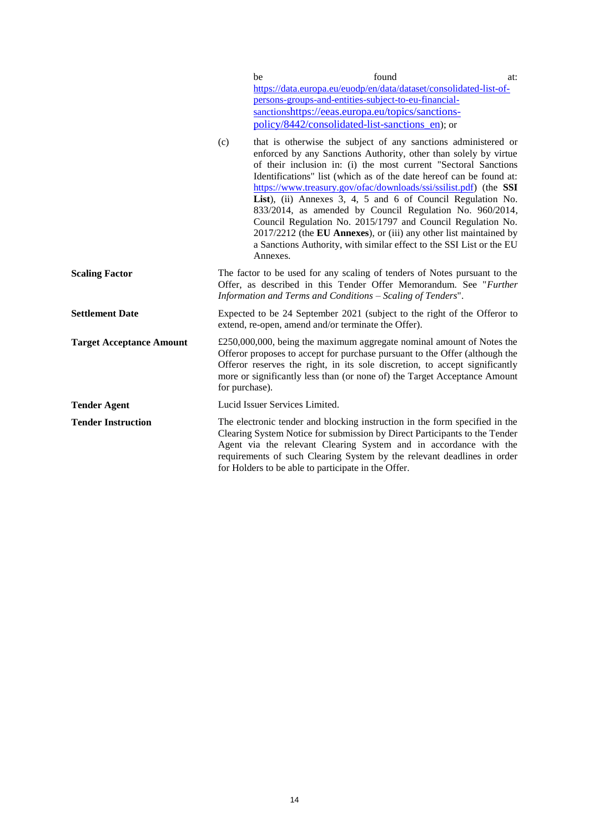|                                 |                                                                                                                                                                                                                                                                                                                                       | be                                                  |  | found                                                | at:                                                                                                                                                                                                                                                                                                                                                                                                                                                                                                                                                                                                                                                                                      |
|---------------------------------|---------------------------------------------------------------------------------------------------------------------------------------------------------------------------------------------------------------------------------------------------------------------------------------------------------------------------------------|-----------------------------------------------------|--|------------------------------------------------------|------------------------------------------------------------------------------------------------------------------------------------------------------------------------------------------------------------------------------------------------------------------------------------------------------------------------------------------------------------------------------------------------------------------------------------------------------------------------------------------------------------------------------------------------------------------------------------------------------------------------------------------------------------------------------------------|
|                                 |                                                                                                                                                                                                                                                                                                                                       |                                                     |  |                                                      | https://data.europa.eu/euodp/en/data/dataset/consolidated-list-of-                                                                                                                                                                                                                                                                                                                                                                                                                                                                                                                                                                                                                       |
|                                 |                                                                                                                                                                                                                                                                                                                                       |                                                     |  | persons-groups-and-entities-subject-to-eu-financial- |                                                                                                                                                                                                                                                                                                                                                                                                                                                                                                                                                                                                                                                                                          |
|                                 |                                                                                                                                                                                                                                                                                                                                       |                                                     |  | sanctionshttps://eeas.europa.eu/topics/sanctions-    |                                                                                                                                                                                                                                                                                                                                                                                                                                                                                                                                                                                                                                                                                          |
|                                 |                                                                                                                                                                                                                                                                                                                                       |                                                     |  | policy/8442/consolidated-list-sanctions en); or      |                                                                                                                                                                                                                                                                                                                                                                                                                                                                                                                                                                                                                                                                                          |
|                                 | (c)                                                                                                                                                                                                                                                                                                                                   | Annexes.                                            |  |                                                      | that is otherwise the subject of any sanctions administered or<br>enforced by any Sanctions Authority, other than solely by virtue<br>of their inclusion in: (i) the most current "Sectoral Sanctions<br>Identifications" list (which as of the date hereof can be found at:<br>https://www.treasury.gov/ofac/downloads/ssi/ssilist.pdf) (the SSI<br>List), (ii) Annexes 3, 4, 5 and 6 of Council Regulation No.<br>833/2014, as amended by Council Regulation No. 960/2014,<br>Council Regulation No. 2015/1797 and Council Regulation No.<br>2017/2212 (the EU Annexes), or (iii) any other list maintained by<br>a Sanctions Authority, with similar effect to the SSI List or the EU |
| <b>Scaling Factor</b>           | The factor to be used for any scaling of tenders of Notes pursuant to the<br>Offer, as described in this Tender Offer Memorandum. See "Further<br>Information and Terms and Conditions - Scaling of Tenders".                                                                                                                         |                                                     |  |                                                      |                                                                                                                                                                                                                                                                                                                                                                                                                                                                                                                                                                                                                                                                                          |
| <b>Settlement Date</b>          | Expected to be 24 September 2021 (subject to the right of the Offeror to<br>extend, re-open, amend and/or terminate the Offer).                                                                                                                                                                                                       |                                                     |  |                                                      |                                                                                                                                                                                                                                                                                                                                                                                                                                                                                                                                                                                                                                                                                          |
| <b>Target Acceptance Amount</b> | $£250,000,000$ , being the maximum aggregate nominal amount of Notes the<br>Offeror proposes to accept for purchase pursuant to the Offer (although the<br>Offeror reserves the right, in its sole discretion, to accept significantly<br>more or significantly less than (or none of) the Target Acceptance Amount<br>for purchase). |                                                     |  |                                                      |                                                                                                                                                                                                                                                                                                                                                                                                                                                                                                                                                                                                                                                                                          |
| <b>Tender Agent</b>             |                                                                                                                                                                                                                                                                                                                                       | Lucid Issuer Services Limited.                      |  |                                                      |                                                                                                                                                                                                                                                                                                                                                                                                                                                                                                                                                                                                                                                                                          |
| <b>Tender Instruction</b>       |                                                                                                                                                                                                                                                                                                                                       | for Holders to be able to participate in the Offer. |  |                                                      | The electronic tender and blocking instruction in the form specified in the<br>Clearing System Notice for submission by Direct Participants to the Tender<br>Agent via the relevant Clearing System and in accordance with the<br>requirements of such Clearing System by the relevant deadlines in order                                                                                                                                                                                                                                                                                                                                                                                |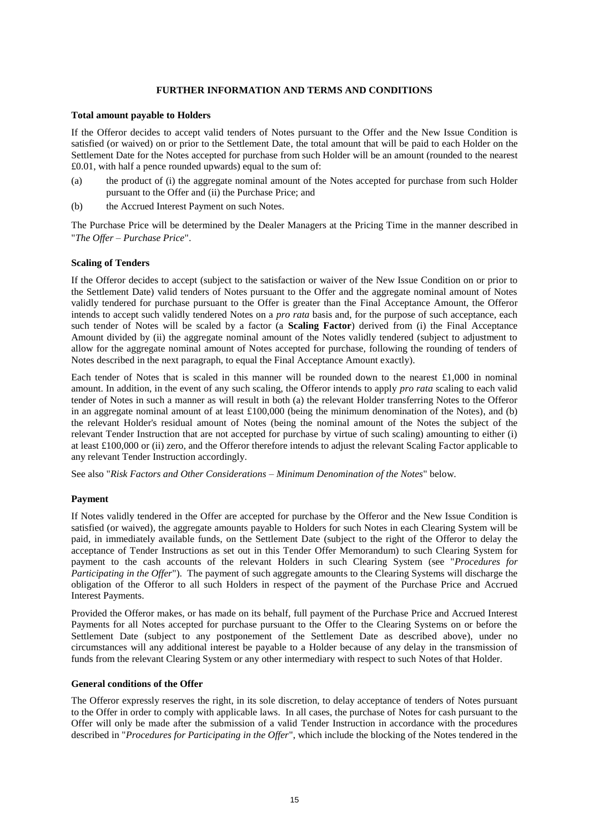# **FURTHER INFORMATION AND TERMS AND CONDITIONS**

# **Total amount payable to Holders**

If the Offeror decides to accept valid tenders of Notes pursuant to the Offer and the New Issue Condition is satisfied (or waived) on or prior to the Settlement Date, the total amount that will be paid to each Holder on the Settlement Date for the Notes accepted for purchase from such Holder will be an amount (rounded to the nearest £0.01, with half a pence rounded upwards) equal to the sum of:

- (a) the product of (i) the aggregate nominal amount of the Notes accepted for purchase from such Holder pursuant to the Offer and (ii) the Purchase Price; and
- (b) the Accrued Interest Payment on such Notes.

The Purchase Price will be determined by the Dealer Managers at the Pricing Time in the manner described in "*The Offer – Purchase Price*".

# **Scaling of Tenders**

If the Offeror decides to accept (subject to the satisfaction or waiver of the New Issue Condition on or prior to the Settlement Date) valid tenders of Notes pursuant to the Offer and the aggregate nominal amount of Notes validly tendered for purchase pursuant to the Offer is greater than the Final Acceptance Amount, the Offeror intends to accept such validly tendered Notes on a *pro rata* basis and, for the purpose of such acceptance, each such tender of Notes will be scaled by a factor (a **Scaling Factor**) derived from (i) the Final Acceptance Amount divided by (ii) the aggregate nominal amount of the Notes validly tendered (subject to adjustment to allow for the aggregate nominal amount of Notes accepted for purchase, following the rounding of tenders of Notes described in the next paragraph, to equal the Final Acceptance Amount exactly).

Each tender of Notes that is scaled in this manner will be rounded down to the nearest £1,000 in nominal amount. In addition, in the event of any such scaling, the Offeror intends to apply *pro rata* scaling to each valid tender of Notes in such a manner as will result in both (a) the relevant Holder transferring Notes to the Offeror in an aggregate nominal amount of at least  $£100,000$  (being the minimum denomination of the Notes), and (b) the relevant Holder's residual amount of Notes (being the nominal amount of the Notes the subject of the relevant Tender Instruction that are not accepted for purchase by virtue of such scaling) amounting to either (i) at least £100,000 or (ii) zero, and the Offeror therefore intends to adjust the relevant Scaling Factor applicable to any relevant Tender Instruction accordingly.

See also "*Risk Factors and Other Considerations – Minimum Denomination of the Notes*" below.

# **Payment**

If Notes validly tendered in the Offer are accepted for purchase by the Offeror and the New Issue Condition is satisfied (or waived), the aggregate amounts payable to Holders for such Notes in each Clearing System will be paid, in immediately available funds, on the Settlement Date (subject to the right of the Offeror to delay the acceptance of Tender Instructions as set out in this Tender Offer Memorandum) to such Clearing System for payment to the cash accounts of the relevant Holders in such Clearing System (see "*Procedures for Participating in the Offer*"). The payment of such aggregate amounts to the Clearing Systems will discharge the obligation of the Offeror to all such Holders in respect of the payment of the Purchase Price and Accrued Interest Payments.

Provided the Offeror makes, or has made on its behalf, full payment of the Purchase Price and Accrued Interest Payments for all Notes accepted for purchase pursuant to the Offer to the Clearing Systems on or before the Settlement Date (subject to any postponement of the Settlement Date as described above), under no circumstances will any additional interest be payable to a Holder because of any delay in the transmission of funds from the relevant Clearing System or any other intermediary with respect to such Notes of that Holder.

# **General conditions of the Offer**

The Offeror expressly reserves the right, in its sole discretion, to delay acceptance of tenders of Notes pursuant to the Offer in order to comply with applicable laws. In all cases, the purchase of Notes for cash pursuant to the Offer will only be made after the submission of a valid Tender Instruction in accordance with the procedures described in "*Procedures for Participating in the Offer*", which include the blocking of the Notes tendered in the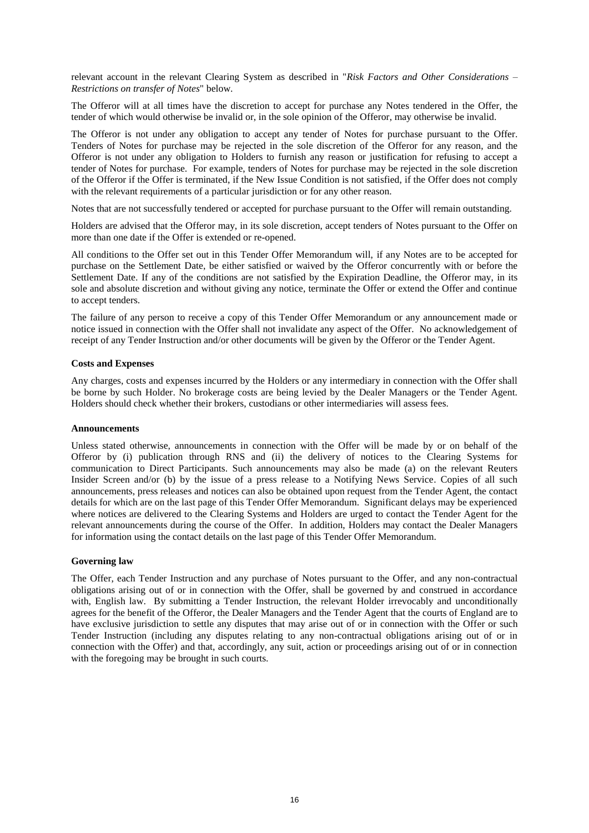relevant account in the relevant Clearing System as described in "*Risk Factors and Other Considerations – Restrictions on transfer of Notes*" below.

The Offeror will at all times have the discretion to accept for purchase any Notes tendered in the Offer, the tender of which would otherwise be invalid or, in the sole opinion of the Offeror, may otherwise be invalid.

The Offeror is not under any obligation to accept any tender of Notes for purchase pursuant to the Offer. Tenders of Notes for purchase may be rejected in the sole discretion of the Offeror for any reason, and the Offeror is not under any obligation to Holders to furnish any reason or justification for refusing to accept a tender of Notes for purchase. For example, tenders of Notes for purchase may be rejected in the sole discretion of the Offeror if the Offer is terminated, if the New Issue Condition is not satisfied, if the Offer does not comply with the relevant requirements of a particular jurisdiction or for any other reason.

Notes that are not successfully tendered or accepted for purchase pursuant to the Offer will remain outstanding.

Holders are advised that the Offeror may, in its sole discretion, accept tenders of Notes pursuant to the Offer on more than one date if the Offer is extended or re-opened.

All conditions to the Offer set out in this Tender Offer Memorandum will, if any Notes are to be accepted for purchase on the Settlement Date, be either satisfied or waived by the Offeror concurrently with or before the Settlement Date. If any of the conditions are not satisfied by the Expiration Deadline, the Offeror may, in its sole and absolute discretion and without giving any notice, terminate the Offer or extend the Offer and continue to accept tenders.

The failure of any person to receive a copy of this Tender Offer Memorandum or any announcement made or notice issued in connection with the Offer shall not invalidate any aspect of the Offer. No acknowledgement of receipt of any Tender Instruction and/or other documents will be given by the Offeror or the Tender Agent.

# **Costs and Expenses**

Any charges, costs and expenses incurred by the Holders or any intermediary in connection with the Offer shall be borne by such Holder. No brokerage costs are being levied by the Dealer Managers or the Tender Agent. Holders should check whether their brokers, custodians or other intermediaries will assess fees.

# **Announcements**

Unless stated otherwise, announcements in connection with the Offer will be made by or on behalf of the Offeror by (i) publication through RNS and (ii) the delivery of notices to the Clearing Systems for communication to Direct Participants. Such announcements may also be made (a) on the relevant Reuters Insider Screen and/or (b) by the issue of a press release to a Notifying News Service. Copies of all such announcements, press releases and notices can also be obtained upon request from the Tender Agent, the contact details for which are on the last page of this Tender Offer Memorandum. Significant delays may be experienced where notices are delivered to the Clearing Systems and Holders are urged to contact the Tender Agent for the relevant announcements during the course of the Offer. In addition, Holders may contact the Dealer Managers for information using the contact details on the last page of this Tender Offer Memorandum.

# **Governing law**

The Offer, each Tender Instruction and any purchase of Notes pursuant to the Offer, and any non-contractual obligations arising out of or in connection with the Offer, shall be governed by and construed in accordance with, English law. By submitting a Tender Instruction, the relevant Holder irrevocably and unconditionally agrees for the benefit of the Offeror, the Dealer Managers and the Tender Agent that the courts of England are to have exclusive jurisdiction to settle any disputes that may arise out of or in connection with the Offer or such Tender Instruction (including any disputes relating to any non-contractual obligations arising out of or in connection with the Offer) and that, accordingly, any suit, action or proceedings arising out of or in connection with the foregoing may be brought in such courts.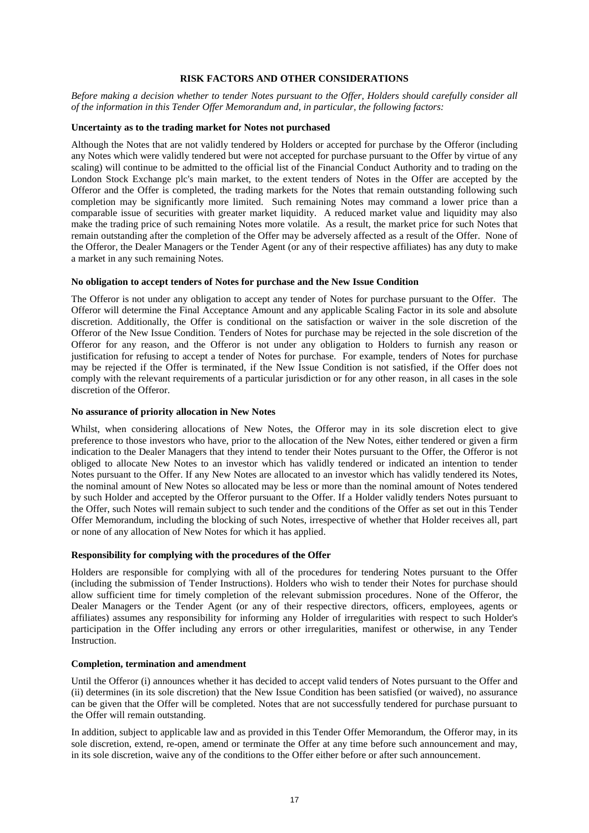# **RISK FACTORS AND OTHER CONSIDERATIONS**

*Before making a decision whether to tender Notes pursuant to the Offer, Holders should carefully consider all of the information in this Tender Offer Memorandum and, in particular, the following factors:*

# **Uncertainty as to the trading market for Notes not purchased**

Although the Notes that are not validly tendered by Holders or accepted for purchase by the Offeror (including any Notes which were validly tendered but were not accepted for purchase pursuant to the Offer by virtue of any scaling) will continue to be admitted to the official list of the Financial Conduct Authority and to trading on the London Stock Exchange plc's main market, to the extent tenders of Notes in the Offer are accepted by the Offeror and the Offer is completed, the trading markets for the Notes that remain outstanding following such completion may be significantly more limited. Such remaining Notes may command a lower price than a comparable issue of securities with greater market liquidity. A reduced market value and liquidity may also make the trading price of such remaining Notes more volatile. As a result, the market price for such Notes that remain outstanding after the completion of the Offer may be adversely affected as a result of the Offer. None of the Offeror, the Dealer Managers or the Tender Agent (or any of their respective affiliates) has any duty to make a market in any such remaining Notes.

#### **No obligation to accept tenders of Notes for purchase and the New Issue Condition**

The Offeror is not under any obligation to accept any tender of Notes for purchase pursuant to the Offer. The Offeror will determine the Final Acceptance Amount and any applicable Scaling Factor in its sole and absolute discretion. Additionally, the Offer is conditional on the satisfaction or waiver in the sole discretion of the Offeror of the New Issue Condition. Tenders of Notes for purchase may be rejected in the sole discretion of the Offeror for any reason, and the Offeror is not under any obligation to Holders to furnish any reason or justification for refusing to accept a tender of Notes for purchase. For example, tenders of Notes for purchase may be rejected if the Offer is terminated, if the New Issue Condition is not satisfied, if the Offer does not comply with the relevant requirements of a particular jurisdiction or for any other reason, in all cases in the sole discretion of the Offeror.

#### **No assurance of priority allocation in New Notes**

Whilst, when considering allocations of New Notes, the Offeror may in its sole discretion elect to give preference to those investors who have, prior to the allocation of the New Notes, either tendered or given a firm indication to the Dealer Managers that they intend to tender their Notes pursuant to the Offer, the Offeror is not obliged to allocate New Notes to an investor which has validly tendered or indicated an intention to tender Notes pursuant to the Offer. If any New Notes are allocated to an investor which has validly tendered its Notes, the nominal amount of New Notes so allocated may be less or more than the nominal amount of Notes tendered by such Holder and accepted by the Offeror pursuant to the Offer. If a Holder validly tenders Notes pursuant to the Offer, such Notes will remain subject to such tender and the conditions of the Offer as set out in this Tender Offer Memorandum, including the blocking of such Notes, irrespective of whether that Holder receives all, part or none of any allocation of New Notes for which it has applied.

# **Responsibility for complying with the procedures of the Offer**

Holders are responsible for complying with all of the procedures for tendering Notes pursuant to the Offer (including the submission of Tender Instructions). Holders who wish to tender their Notes for purchase should allow sufficient time for timely completion of the relevant submission procedures. None of the Offeror, the Dealer Managers or the Tender Agent (or any of their respective directors, officers, employees, agents or affiliates) assumes any responsibility for informing any Holder of irregularities with respect to such Holder's participation in the Offer including any errors or other irregularities, manifest or otherwise, in any Tender Instruction.

# **Completion, termination and amendment**

Until the Offeror (i) announces whether it has decided to accept valid tenders of Notes pursuant to the Offer and (ii) determines (in its sole discretion) that the New Issue Condition has been satisfied (or waived), no assurance can be given that the Offer will be completed. Notes that are not successfully tendered for purchase pursuant to the Offer will remain outstanding.

In addition, subject to applicable law and as provided in this Tender Offer Memorandum, the Offeror may, in its sole discretion, extend, re-open, amend or terminate the Offer at any time before such announcement and may, in its sole discretion, waive any of the conditions to the Offer either before or after such announcement.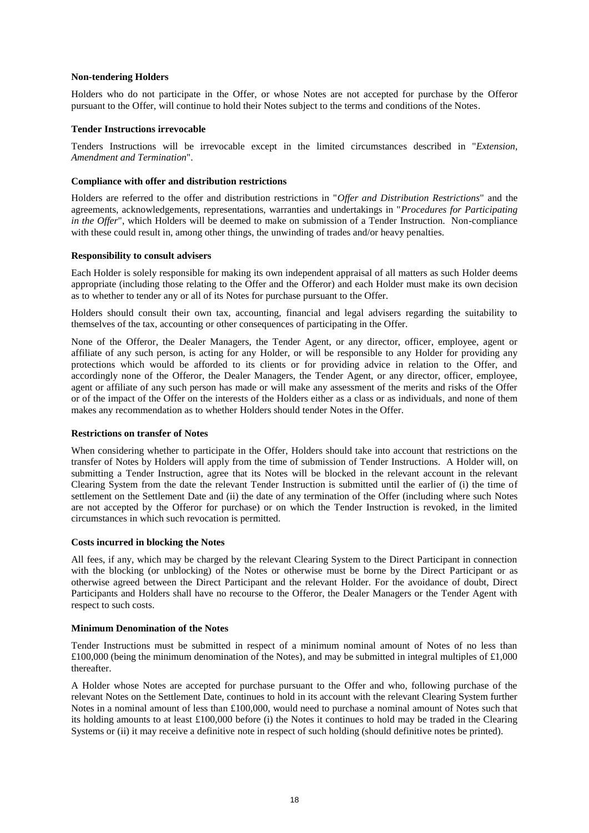# **Non-tendering Holders**

Holders who do not participate in the Offer, or whose Notes are not accepted for purchase by the Offeror pursuant to the Offer, will continue to hold their Notes subject to the terms and conditions of the Notes.

# **Tender Instructions irrevocable**

Tenders Instructions will be irrevocable except in the limited circumstances described in "*Extension, Amendment and Termination*".

# **Compliance with offer and distribution restrictions**

Holders are referred to the offer and distribution restrictions in "*Offer and Distribution Restrictions*" and the agreements, acknowledgements, representations, warranties and undertakings in "*Procedures for Participating in the Offer*", which Holders will be deemed to make on submission of a Tender Instruction. Non-compliance with these could result in, among other things, the unwinding of trades and/or heavy penalties.

# **Responsibility to consult advisers**

Each Holder is solely responsible for making its own independent appraisal of all matters as such Holder deems appropriate (including those relating to the Offer and the Offeror) and each Holder must make its own decision as to whether to tender any or all of its Notes for purchase pursuant to the Offer.

Holders should consult their own tax, accounting, financial and legal advisers regarding the suitability to themselves of the tax, accounting or other consequences of participating in the Offer.

None of the Offeror, the Dealer Managers, the Tender Agent, or any director, officer, employee, agent or affiliate of any such person, is acting for any Holder, or will be responsible to any Holder for providing any protections which would be afforded to its clients or for providing advice in relation to the Offer, and accordingly none of the Offeror, the Dealer Managers, the Tender Agent, or any director, officer, employee, agent or affiliate of any such person has made or will make any assessment of the merits and risks of the Offer or of the impact of the Offer on the interests of the Holders either as a class or as individuals, and none of them makes any recommendation as to whether Holders should tender Notes in the Offer.

# **Restrictions on transfer of Notes**

When considering whether to participate in the Offer, Holders should take into account that restrictions on the transfer of Notes by Holders will apply from the time of submission of Tender Instructions. A Holder will, on submitting a Tender Instruction, agree that its Notes will be blocked in the relevant account in the relevant Clearing System from the date the relevant Tender Instruction is submitted until the earlier of (i) the time of settlement on the Settlement Date and (ii) the date of any termination of the Offer (including where such Notes are not accepted by the Offeror for purchase) or on which the Tender Instruction is revoked, in the limited circumstances in which such revocation is permitted.

# **Costs incurred in blocking the Notes**

All fees, if any, which may be charged by the relevant Clearing System to the Direct Participant in connection with the blocking (or unblocking) of the Notes or otherwise must be borne by the Direct Participant or as otherwise agreed between the Direct Participant and the relevant Holder. For the avoidance of doubt, Direct Participants and Holders shall have no recourse to the Offeror, the Dealer Managers or the Tender Agent with respect to such costs.

# **Minimum Denomination of the Notes**

Tender Instructions must be submitted in respect of a minimum nominal amount of Notes of no less than  $\text{\pounds}100,000$  (being the minimum denomination of the Notes), and may be submitted in integral multiples of £1,000 thereafter.

A Holder whose Notes are accepted for purchase pursuant to the Offer and who, following purchase of the relevant Notes on the Settlement Date, continues to hold in its account with the relevant Clearing System further Notes in a nominal amount of less than £100,000, would need to purchase a nominal amount of Notes such that its holding amounts to at least £100,000 before (i) the Notes it continues to hold may be traded in the Clearing Systems or (ii) it may receive a definitive note in respect of such holding (should definitive notes be printed).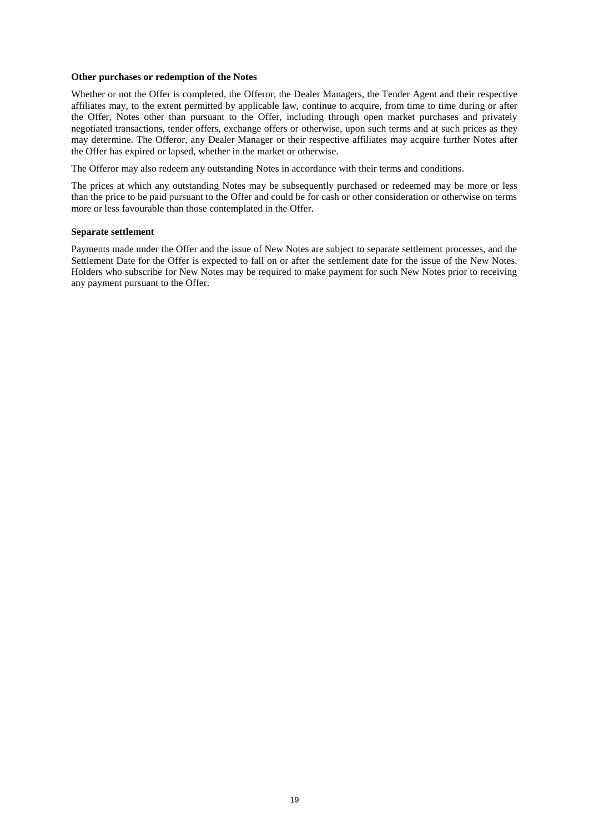# **Other purchases or redemption of the Notes**

Whether or not the Offer is completed, the Offeror, the Dealer Managers, the Tender Agent and their respective affiliates may, to the extent permitted by applicable law, continue to acquire, from time to time during or after the Offer, Notes other than pursuant to the Offer, including through open market purchases and privately negotiated transactions, tender offers, exchange offers or otherwise, upon such terms and at such prices as they may determine. The Offeror, any Dealer Manager or their respective affiliates may acquire further Notes after the Offer has expired or lapsed, whether in the market or otherwise.

The Offeror may also redeem any outstanding Notes in accordance with their terms and conditions.

The prices at which any outstanding Notes may be subsequently purchased or redeemed may be more or less than the price to be paid pursuant to the Offer and could be for cash or other consideration or otherwise on terms more or less favourable than those contemplated in the Offer.

# **Separate settlement**

Payments made under the Offer and the issue of New Notes are subject to separate settlement processes, and the Settlement Date for the Offer is expected to fall on or after the settlement date for the issue of the New Notes. Holders who subscribe for New Notes may be required to make payment for such New Notes prior to receiving any payment pursuant to the Offer.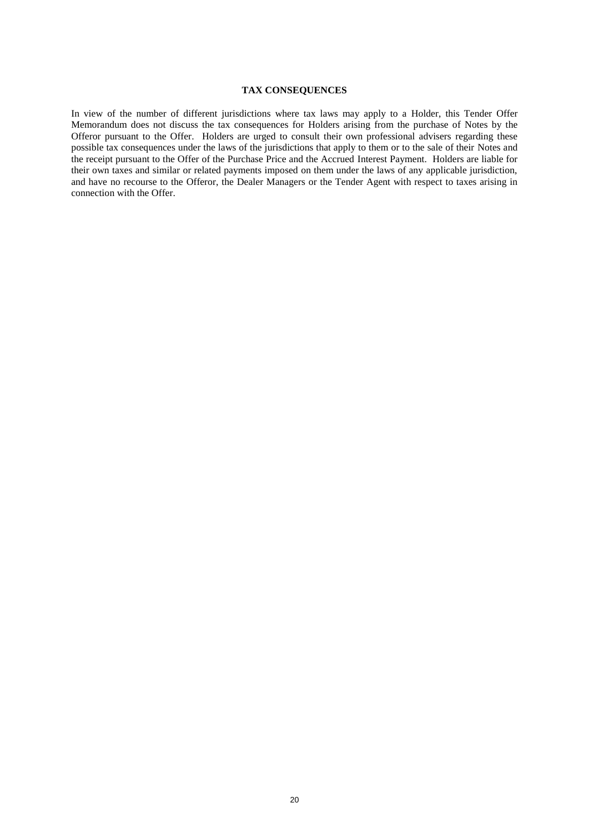# **TAX CONSEQUENCES**

In view of the number of different jurisdictions where tax laws may apply to a Holder, this Tender Offer Memorandum does not discuss the tax consequences for Holders arising from the purchase of Notes by the Offeror pursuant to the Offer. Holders are urged to consult their own professional advisers regarding these possible tax consequences under the laws of the jurisdictions that apply to them or to the sale of their Notes and the receipt pursuant to the Offer of the Purchase Price and the Accrued Interest Payment. Holders are liable for their own taxes and similar or related payments imposed on them under the laws of any applicable jurisdiction, and have no recourse to the Offeror, the Dealer Managers or the Tender Agent with respect to taxes arising in connection with the Offer.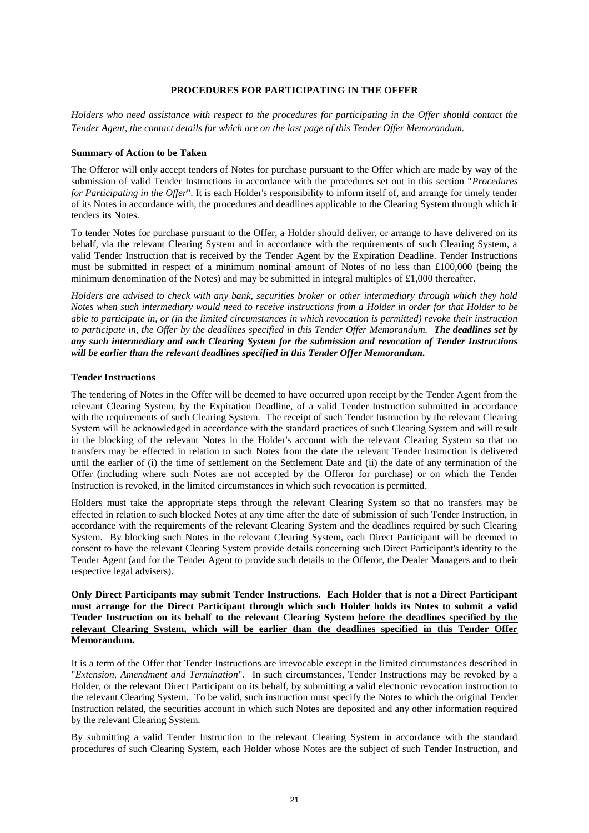# **PROCEDURES FOR PARTICIPATING IN THE OFFER**

*Holders who need assistance with respect to the procedures for participating in the Offer should contact the Tender Agent, the contact details for which are on the last page of this Tender Offer Memorandum.*

#### **Summary of Action to be Taken**

The Offeror will only accept tenders of Notes for purchase pursuant to the Offer which are made by way of the submission of valid Tender Instructions in accordance with the procedures set out in this section "*Procedures for Participating in the Offer*". It is each Holder's responsibility to inform itself of, and arrange for timely tender of its Notes in accordance with, the procedures and deadlines applicable to the Clearing System through which it tenders its Notes.

To tender Notes for purchase pursuant to the Offer, a Holder should deliver, or arrange to have delivered on its behalf, via the relevant Clearing System and in accordance with the requirements of such Clearing System, a valid Tender Instruction that is received by the Tender Agent by the Expiration Deadline. Tender Instructions must be submitted in respect of a minimum nominal amount of Notes of no less than £100,000 (being the minimum denomination of the Notes) and may be submitted in integral multiples of £1,000 thereafter.

*Holders are advised to check with any bank, securities broker or other intermediary through which they hold Notes when such intermediary would need to receive instructions from a Holder in order for that Holder to be able to participate in, or (in the limited circumstances in which revocation is permitted) revoke their instruction to participate in, the Offer by the deadlines specified in this Tender Offer Memorandum. The deadlines set by any such intermediary and each Clearing System for the submission and revocation of Tender Instructions will be earlier than the relevant deadlines specified in this Tender Offer Memorandum.*

#### **Tender Instructions**

The tendering of Notes in the Offer will be deemed to have occurred upon receipt by the Tender Agent from the relevant Clearing System, by the Expiration Deadline, of a valid Tender Instruction submitted in accordance with the requirements of such Clearing System. The receipt of such Tender Instruction by the relevant Clearing System will be acknowledged in accordance with the standard practices of such Clearing System and will result in the blocking of the relevant Notes in the Holder's account with the relevant Clearing System so that no transfers may be effected in relation to such Notes from the date the relevant Tender Instruction is delivered until the earlier of (i) the time of settlement on the Settlement Date and (ii) the date of any termination of the Offer (including where such Notes are not accepted by the Offeror for purchase) or on which the Tender Instruction is revoked, in the limited circumstances in which such revocation is permitted.

Holders must take the appropriate steps through the relevant Clearing System so that no transfers may be effected in relation to such blocked Notes at any time after the date of submission of such Tender Instruction, in accordance with the requirements of the relevant Clearing System and the deadlines required by such Clearing System. By blocking such Notes in the relevant Clearing System, each Direct Participant will be deemed to consent to have the relevant Clearing System provide details concerning such Direct Participant's identity to the Tender Agent (and for the Tender Agent to provide such details to the Offeror, the Dealer Managers and to their respective legal advisers).

# **Only Direct Participants may submit Tender Instructions. Each Holder that is not a Direct Participant must arrange for the Direct Participant through which such Holder holds its Notes to submit a valid Tender Instruction on its behalf to the relevant Clearing System before the deadlines specified by the relevant Clearing System, which will be earlier than the deadlines specified in this Tender Offer Memorandum.**

It is a term of the Offer that Tender Instructions are irrevocable except in the limited circumstances described in "*Extension, Amendment and Termination*". In such circumstances, Tender Instructions may be revoked by a Holder, or the relevant Direct Participant on its behalf, by submitting a valid electronic revocation instruction to the relevant Clearing System. To be valid, such instruction must specify the Notes to which the original Tender Instruction related, the securities account in which such Notes are deposited and any other information required by the relevant Clearing System.

By submitting a valid Tender Instruction to the relevant Clearing System in accordance with the standard procedures of such Clearing System, each Holder whose Notes are the subject of such Tender Instruction, and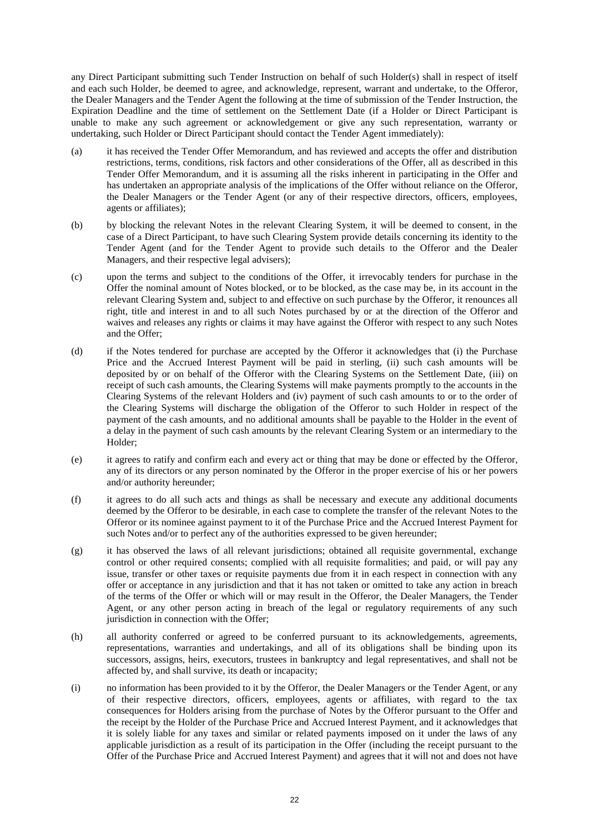any Direct Participant submitting such Tender Instruction on behalf of such Holder(s) shall in respect of itself and each such Holder, be deemed to agree, and acknowledge, represent, warrant and undertake, to the Offeror, the Dealer Managers and the Tender Agent the following at the time of submission of the Tender Instruction, the Expiration Deadline and the time of settlement on the Settlement Date (if a Holder or Direct Participant is unable to make any such agreement or acknowledgement or give any such representation, warranty or undertaking, such Holder or Direct Participant should contact the Tender Agent immediately):

- (a) it has received the Tender Offer Memorandum, and has reviewed and accepts the offer and distribution restrictions, terms, conditions, risk factors and other considerations of the Offer, all as described in this Tender Offer Memorandum, and it is assuming all the risks inherent in participating in the Offer and has undertaken an appropriate analysis of the implications of the Offer without reliance on the Offeror, the Dealer Managers or the Tender Agent (or any of their respective directors, officers, employees, agents or affiliates);
- (b) by blocking the relevant Notes in the relevant Clearing System, it will be deemed to consent, in the case of a Direct Participant, to have such Clearing System provide details concerning its identity to the Tender Agent (and for the Tender Agent to provide such details to the Offeror and the Dealer Managers, and their respective legal advisers);
- (c) upon the terms and subject to the conditions of the Offer, it irrevocably tenders for purchase in the Offer the nominal amount of Notes blocked, or to be blocked, as the case may be, in its account in the relevant Clearing System and, subject to and effective on such purchase by the Offeror, it renounces all right, title and interest in and to all such Notes purchased by or at the direction of the Offeror and waives and releases any rights or claims it may have against the Offeror with respect to any such Notes and the Offer;
- (d) if the Notes tendered for purchase are accepted by the Offeror it acknowledges that (i) the Purchase Price and the Accrued Interest Payment will be paid in sterling, (ii) such cash amounts will be deposited by or on behalf of the Offeror with the Clearing Systems on the Settlement Date, (iii) on receipt of such cash amounts, the Clearing Systems will make payments promptly to the accounts in the Clearing Systems of the relevant Holders and (iv) payment of such cash amounts to or to the order of the Clearing Systems will discharge the obligation of the Offeror to such Holder in respect of the payment of the cash amounts, and no additional amounts shall be payable to the Holder in the event of a delay in the payment of such cash amounts by the relevant Clearing System or an intermediary to the Holder;
- (e) it agrees to ratify and confirm each and every act or thing that may be done or effected by the Offeror, any of its directors or any person nominated by the Offeror in the proper exercise of his or her powers and/or authority hereunder;
- (f) it agrees to do all such acts and things as shall be necessary and execute any additional documents deemed by the Offeror to be desirable, in each case to complete the transfer of the relevant Notes to the Offeror or its nominee against payment to it of the Purchase Price and the Accrued Interest Payment for such Notes and/or to perfect any of the authorities expressed to be given hereunder;
- (g) it has observed the laws of all relevant jurisdictions; obtained all requisite governmental, exchange control or other required consents; complied with all requisite formalities; and paid, or will pay any issue, transfer or other taxes or requisite payments due from it in each respect in connection with any offer or acceptance in any jurisdiction and that it has not taken or omitted to take any action in breach of the terms of the Offer or which will or may result in the Offeror, the Dealer Managers, the Tender Agent, or any other person acting in breach of the legal or regulatory requirements of any such jurisdiction in connection with the Offer;
- (h) all authority conferred or agreed to be conferred pursuant to its acknowledgements, agreements, representations, warranties and undertakings, and all of its obligations shall be binding upon its successors, assigns, heirs, executors, trustees in bankruptcy and legal representatives, and shall not be affected by, and shall survive, its death or incapacity;
- (i) no information has been provided to it by the Offeror, the Dealer Managers or the Tender Agent, or any of their respective directors, officers, employees, agents or affiliates, with regard to the tax consequences for Holders arising from the purchase of Notes by the Offeror pursuant to the Offer and the receipt by the Holder of the Purchase Price and Accrued Interest Payment, and it acknowledges that it is solely liable for any taxes and similar or related payments imposed on it under the laws of any applicable jurisdiction as a result of its participation in the Offer (including the receipt pursuant to the Offer of the Purchase Price and Accrued Interest Payment) and agrees that it will not and does not have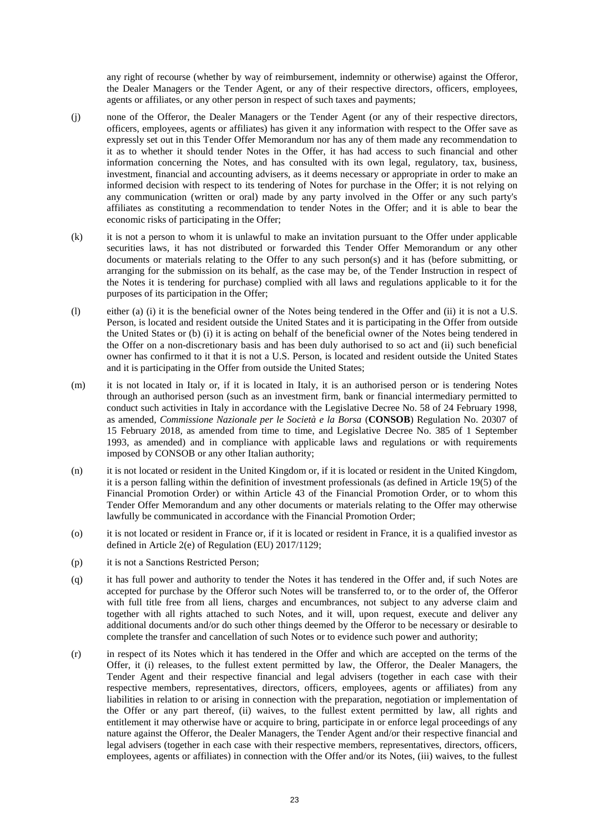any right of recourse (whether by way of reimbursement, indemnity or otherwise) against the Offeror, the Dealer Managers or the Tender Agent, or any of their respective directors, officers, employees, agents or affiliates, or any other person in respect of such taxes and payments;

- (j) none of the Offeror, the Dealer Managers or the Tender Agent (or any of their respective directors, officers, employees, agents or affiliates) has given it any information with respect to the Offer save as expressly set out in this Tender Offer Memorandum nor has any of them made any recommendation to it as to whether it should tender Notes in the Offer, it has had access to such financial and other information concerning the Notes, and has consulted with its own legal, regulatory, tax, business, investment, financial and accounting advisers, as it deems necessary or appropriate in order to make an informed decision with respect to its tendering of Notes for purchase in the Offer; it is not relying on any communication (written or oral) made by any party involved in the Offer or any such party's affiliates as constituting a recommendation to tender Notes in the Offer; and it is able to bear the economic risks of participating in the Offer;
- (k) it is not a person to whom it is unlawful to make an invitation pursuant to the Offer under applicable securities laws, it has not distributed or forwarded this Tender Offer Memorandum or any other documents or materials relating to the Offer to any such person(s) and it has (before submitting, or arranging for the submission on its behalf, as the case may be, of the Tender Instruction in respect of the Notes it is tendering for purchase) complied with all laws and regulations applicable to it for the purposes of its participation in the Offer;
- (l) either (a) (i) it is the beneficial owner of the Notes being tendered in the Offer and (ii) it is not a U.S. Person, is located and resident outside the United States and it is participating in the Offer from outside the United States or (b) (i) it is acting on behalf of the beneficial owner of the Notes being tendered in the Offer on a non-discretionary basis and has been duly authorised to so act and (ii) such beneficial owner has confirmed to it that it is not a U.S. Person, is located and resident outside the United States and it is participating in the Offer from outside the United States;
- (m) it is not located in Italy or, if it is located in Italy, it is an authorised person or is tendering Notes through an authorised person (such as an investment firm, bank or financial intermediary permitted to conduct such activities in Italy in accordance with the Legislative Decree No. 58 of 24 February 1998, as amended, *Commissione Nazionale per le Società e la Borsa* (**CONSOB**) Regulation No. 20307 of 15 February 2018, as amended from time to time, and Legislative Decree No. 385 of 1 September 1993, as amended) and in compliance with applicable laws and regulations or with requirements imposed by CONSOB or any other Italian authority;
- (n) it is not located or resident in the United Kingdom or, if it is located or resident in the United Kingdom, it is a person falling within the definition of investment professionals (as defined in Article 19(5) of the Financial Promotion Order) or within Article 43 of the Financial Promotion Order, or to whom this Tender Offer Memorandum and any other documents or materials relating to the Offer may otherwise lawfully be communicated in accordance with the Financial Promotion Order;
- (o) it is not located or resident in France or, if it is located or resident in France, it is a qualified investor as defined in Article 2(e) of Regulation (EU) 2017/1129;
- (p) it is not a Sanctions Restricted Person;
- (q) it has full power and authority to tender the Notes it has tendered in the Offer and, if such Notes are accepted for purchase by the Offeror such Notes will be transferred to, or to the order of, the Offeror with full title free from all liens, charges and encumbrances, not subject to any adverse claim and together with all rights attached to such Notes, and it will, upon request, execute and deliver any additional documents and/or do such other things deemed by the Offeror to be necessary or desirable to complete the transfer and cancellation of such Notes or to evidence such power and authority;
- (r) in respect of its Notes which it has tendered in the Offer and which are accepted on the terms of the Offer, it (i) releases, to the fullest extent permitted by law, the Offeror, the Dealer Managers, the Tender Agent and their respective financial and legal advisers (together in each case with their respective members, representatives, directors, officers, employees, agents or affiliates) from any liabilities in relation to or arising in connection with the preparation, negotiation or implementation of the Offer or any part thereof, (ii) waives, to the fullest extent permitted by law, all rights and entitlement it may otherwise have or acquire to bring, participate in or enforce legal proceedings of any nature against the Offeror, the Dealer Managers, the Tender Agent and/or their respective financial and legal advisers (together in each case with their respective members, representatives, directors, officers, employees, agents or affiliates) in connection with the Offer and/or its Notes, (iii) waives, to the fullest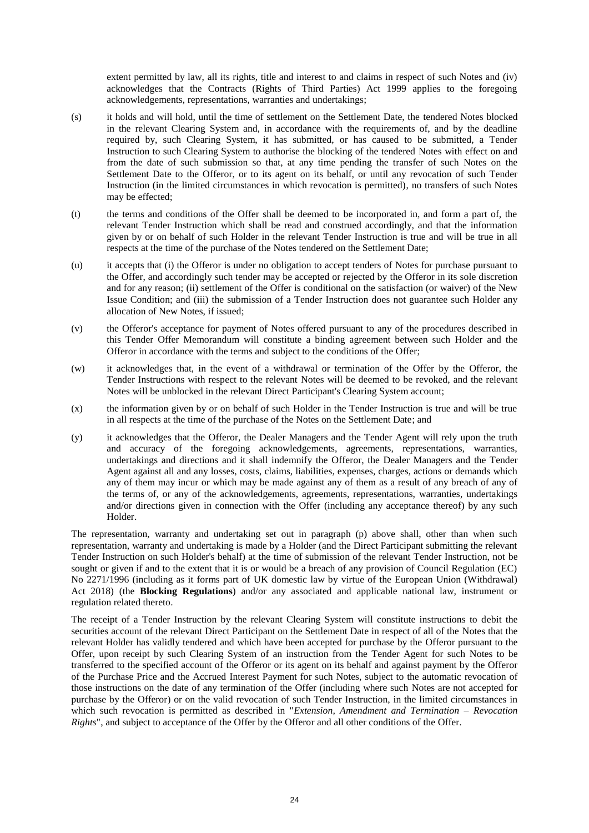extent permitted by law, all its rights, title and interest to and claims in respect of such Notes and (iv) acknowledges that the Contracts (Rights of Third Parties) Act 1999 applies to the foregoing acknowledgements, representations, warranties and undertakings;

- (s) it holds and will hold, until the time of settlement on the Settlement Date, the tendered Notes blocked in the relevant Clearing System and, in accordance with the requirements of, and by the deadline required by, such Clearing System, it has submitted, or has caused to be submitted, a Tender Instruction to such Clearing System to authorise the blocking of the tendered Notes with effect on and from the date of such submission so that, at any time pending the transfer of such Notes on the Settlement Date to the Offeror, or to its agent on its behalf, or until any revocation of such Tender Instruction (in the limited circumstances in which revocation is permitted), no transfers of such Notes may be effected;
- (t) the terms and conditions of the Offer shall be deemed to be incorporated in, and form a part of, the relevant Tender Instruction which shall be read and construed accordingly, and that the information given by or on behalf of such Holder in the relevant Tender Instruction is true and will be true in all respects at the time of the purchase of the Notes tendered on the Settlement Date;
- (u) it accepts that (i) the Offeror is under no obligation to accept tenders of Notes for purchase pursuant to the Offer, and accordingly such tender may be accepted or rejected by the Offeror in its sole discretion and for any reason; (ii) settlement of the Offer is conditional on the satisfaction (or waiver) of the New Issue Condition; and (iii) the submission of a Tender Instruction does not guarantee such Holder any allocation of New Notes, if issued;
- (v) the Offeror's acceptance for payment of Notes offered pursuant to any of the procedures described in this Tender Offer Memorandum will constitute a binding agreement between such Holder and the Offeror in accordance with the terms and subject to the conditions of the Offer;
- (w) it acknowledges that, in the event of a withdrawal or termination of the Offer by the Offeror, the Tender Instructions with respect to the relevant Notes will be deemed to be revoked, and the relevant Notes will be unblocked in the relevant Direct Participant's Clearing System account;
- (x) the information given by or on behalf of such Holder in the Tender Instruction is true and will be true in all respects at the time of the purchase of the Notes on the Settlement Date; and
- (y) it acknowledges that the Offeror, the Dealer Managers and the Tender Agent will rely upon the truth and accuracy of the foregoing acknowledgements, agreements, representations, warranties, undertakings and directions and it shall indemnify the Offeror, the Dealer Managers and the Tender Agent against all and any losses, costs, claims, liabilities, expenses, charges, actions or demands which any of them may incur or which may be made against any of them as a result of any breach of any of the terms of, or any of the acknowledgements, agreements, representations, warranties, undertakings and/or directions given in connection with the Offer (including any acceptance thereof) by any such Holder.

The representation, warranty and undertaking set out in paragraph (p) above shall, other than when such representation, warranty and undertaking is made by a Holder (and the Direct Participant submitting the relevant Tender Instruction on such Holder's behalf) at the time of submission of the relevant Tender Instruction, not be sought or given if and to the extent that it is or would be a breach of any provision of Council Regulation (EC) No 2271/1996 (including as it forms part of UK domestic law by virtue of the European Union (Withdrawal) Act 2018) (the **Blocking Regulations**) and/or any associated and applicable national law, instrument or regulation related thereto.

The receipt of a Tender Instruction by the relevant Clearing System will constitute instructions to debit the securities account of the relevant Direct Participant on the Settlement Date in respect of all of the Notes that the relevant Holder has validly tendered and which have been accepted for purchase by the Offeror pursuant to the Offer, upon receipt by such Clearing System of an instruction from the Tender Agent for such Notes to be transferred to the specified account of the Offeror or its agent on its behalf and against payment by the Offeror of the Purchase Price and the Accrued Interest Payment for such Notes, subject to the automatic revocation of those instructions on the date of any termination of the Offer (including where such Notes are not accepted for purchase by the Offeror) or on the valid revocation of such Tender Instruction, in the limited circumstances in which such revocation is permitted as described in "*Extension, Amendment and Termination – Revocation Rights*", and subject to acceptance of the Offer by the Offeror and all other conditions of the Offer.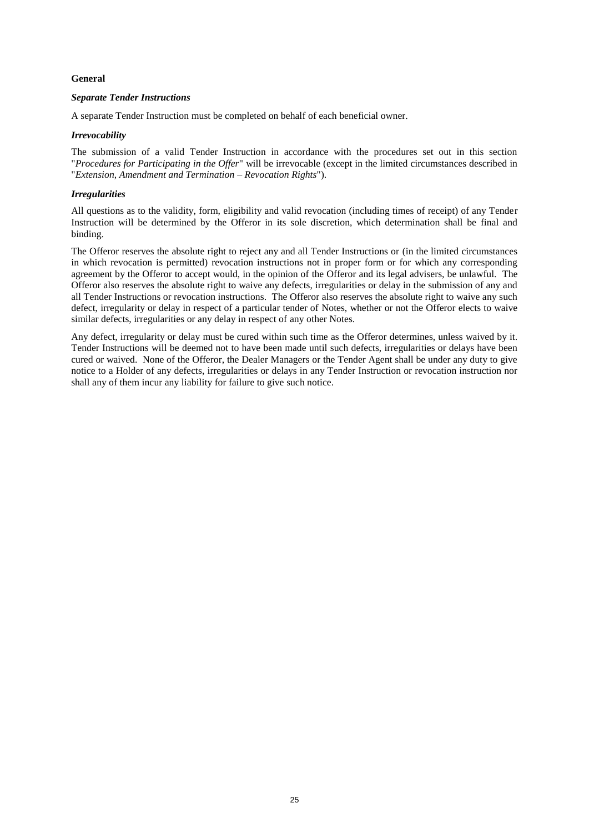# **General**

# *Separate Tender Instructions*

A separate Tender Instruction must be completed on behalf of each beneficial owner.

# *Irrevocability*

The submission of a valid Tender Instruction in accordance with the procedures set out in this section "*Procedures for Participating in the Offer*" will be irrevocable (except in the limited circumstances described in "*Extension, Amendment and Termination – Revocation Rights*").

# *Irregularities*

All questions as to the validity, form, eligibility and valid revocation (including times of receipt) of any Tender Instruction will be determined by the Offeror in its sole discretion, which determination shall be final and binding.

The Offeror reserves the absolute right to reject any and all Tender Instructions or (in the limited circumstances in which revocation is permitted) revocation instructions not in proper form or for which any corresponding agreement by the Offeror to accept would, in the opinion of the Offeror and its legal advisers, be unlawful. The Offeror also reserves the absolute right to waive any defects, irregularities or delay in the submission of any and all Tender Instructions or revocation instructions. The Offeror also reserves the absolute right to waive any such defect, irregularity or delay in respect of a particular tender of Notes, whether or not the Offeror elects to waive similar defects, irregularities or any delay in respect of any other Notes.

Any defect, irregularity or delay must be cured within such time as the Offeror determines, unless waived by it. Tender Instructions will be deemed not to have been made until such defects, irregularities or delays have been cured or waived. None of the Offeror, the Dealer Managers or the Tender Agent shall be under any duty to give notice to a Holder of any defects, irregularities or delays in any Tender Instruction or revocation instruction nor shall any of them incur any liability for failure to give such notice.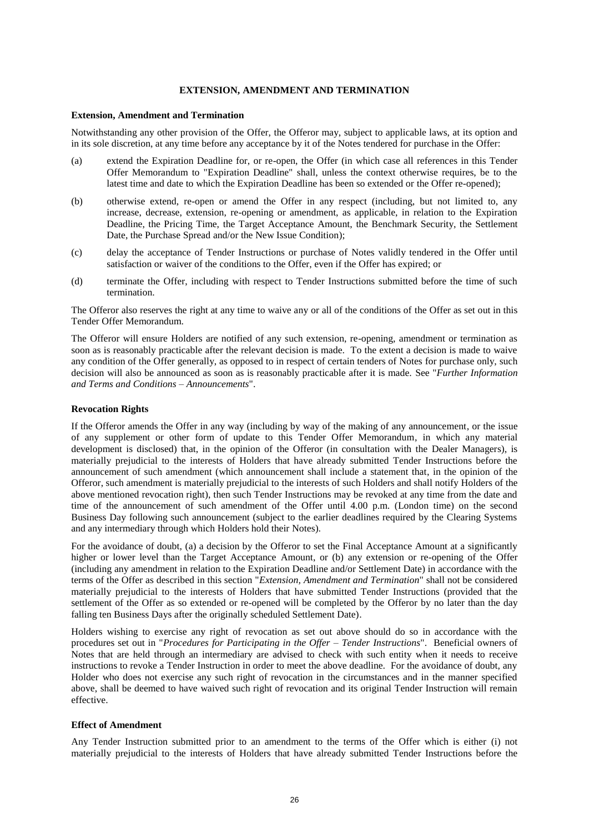# **EXTENSION, AMENDMENT AND TERMINATION**

#### **Extension, Amendment and Termination**

Notwithstanding any other provision of the Offer, the Offeror may, subject to applicable laws, at its option and in its sole discretion, at any time before any acceptance by it of the Notes tendered for purchase in the Offer:

- (a) extend the Expiration Deadline for, or re-open, the Offer (in which case all references in this Tender Offer Memorandum to "Expiration Deadline" shall, unless the context otherwise requires, be to the latest time and date to which the Expiration Deadline has been so extended or the Offer re-opened);
- (b) otherwise extend, re-open or amend the Offer in any respect (including, but not limited to, any increase, decrease, extension, re-opening or amendment, as applicable, in relation to the Expiration Deadline, the Pricing Time, the Target Acceptance Amount, the Benchmark Security, the Settlement Date, the Purchase Spread and/or the New Issue Condition);
- (c) delay the acceptance of Tender Instructions or purchase of Notes validly tendered in the Offer until satisfaction or waiver of the conditions to the Offer, even if the Offer has expired; or
- (d) terminate the Offer, including with respect to Tender Instructions submitted before the time of such termination.

The Offeror also reserves the right at any time to waive any or all of the conditions of the Offer as set out in this Tender Offer Memorandum.

The Offeror will ensure Holders are notified of any such extension, re-opening, amendment or termination as soon as is reasonably practicable after the relevant decision is made. To the extent a decision is made to waive any condition of the Offer generally, as opposed to in respect of certain tenders of Notes for purchase only, such decision will also be announced as soon as is reasonably practicable after it is made. See "*Further Information and Terms and Conditions – Announcements*".

# **Revocation Rights**

If the Offeror amends the Offer in any way (including by way of the making of any announcement, or the issue of any supplement or other form of update to this Tender Offer Memorandum, in which any material development is disclosed) that, in the opinion of the Offeror (in consultation with the Dealer Managers), is materially prejudicial to the interests of Holders that have already submitted Tender Instructions before the announcement of such amendment (which announcement shall include a statement that, in the opinion of the Offeror, such amendment is materially prejudicial to the interests of such Holders and shall notify Holders of the above mentioned revocation right), then such Tender Instructions may be revoked at any time from the date and time of the announcement of such amendment of the Offer until 4.00 p.m. (London time) on the second Business Day following such announcement (subject to the earlier deadlines required by the Clearing Systems and any intermediary through which Holders hold their Notes).

For the avoidance of doubt, (a) a decision by the Offeror to set the Final Acceptance Amount at a significantly higher or lower level than the Target Acceptance Amount, or (b) any extension or re-opening of the Offer (including any amendment in relation to the Expiration Deadline and/or Settlement Date) in accordance with the terms of the Offer as described in this section "*Extension, Amendment and Termination*" shall not be considered materially prejudicial to the interests of Holders that have submitted Tender Instructions (provided that the settlement of the Offer as so extended or re-opened will be completed by the Offeror by no later than the day falling ten Business Days after the originally scheduled Settlement Date).

Holders wishing to exercise any right of revocation as set out above should do so in accordance with the procedures set out in "*Procedures for Participating in the Offer – Tender Instructions*". Beneficial owners of Notes that are held through an intermediary are advised to check with such entity when it needs to receive instructions to revoke a Tender Instruction in order to meet the above deadline. For the avoidance of doubt, any Holder who does not exercise any such right of revocation in the circumstances and in the manner specified above, shall be deemed to have waived such right of revocation and its original Tender Instruction will remain effective.

# **Effect of Amendment**

Any Tender Instruction submitted prior to an amendment to the terms of the Offer which is either (i) not materially prejudicial to the interests of Holders that have already submitted Tender Instructions before the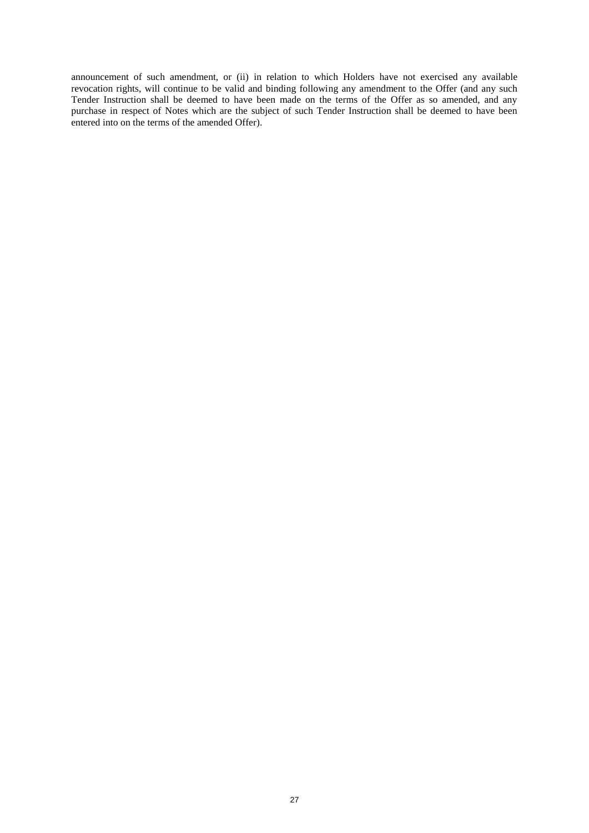announcement of such amendment, or (ii) in relation to which Holders have not exercised any available revocation rights, will continue to be valid and binding following any amendment to the Offer (and any such Tender Instruction shall be deemed to have been made on the terms of the Offer as so amended, and any purchase in respect of Notes which are the subject of such Tender Instruction shall be deemed to have been entered into on the terms of the amended Offer).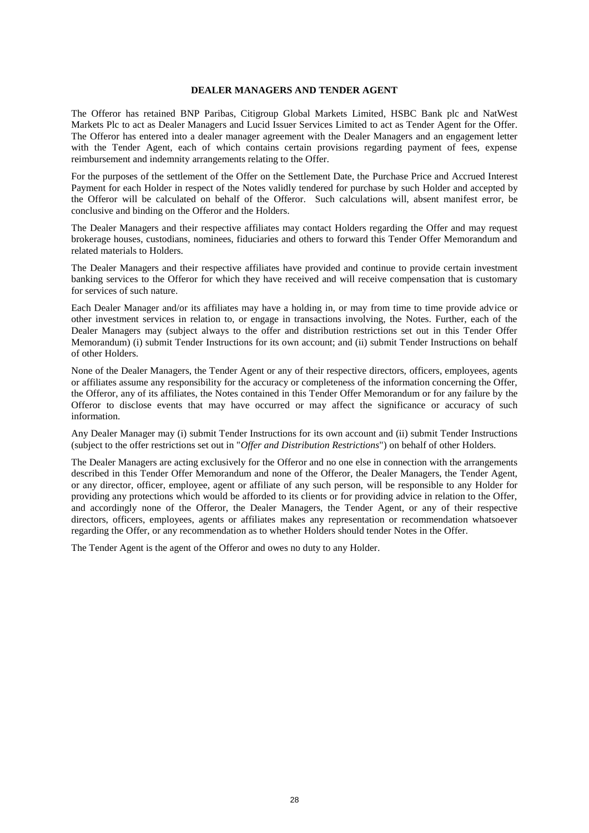# **DEALER MANAGERS AND TENDER AGENT**

The Offeror has retained BNP Paribas, Citigroup Global Markets Limited, HSBC Bank plc and NatWest Markets Plc to act as Dealer Managers and Lucid Issuer Services Limited to act as Tender Agent for the Offer. The Offeror has entered into a dealer manager agreement with the Dealer Managers and an engagement letter with the Tender Agent, each of which contains certain provisions regarding payment of fees, expense reimbursement and indemnity arrangements relating to the Offer.

For the purposes of the settlement of the Offer on the Settlement Date, the Purchase Price and Accrued Interest Payment for each Holder in respect of the Notes validly tendered for purchase by such Holder and accepted by the Offeror will be calculated on behalf of the Offeror. Such calculations will, absent manifest error, be conclusive and binding on the Offeror and the Holders.

The Dealer Managers and their respective affiliates may contact Holders regarding the Offer and may request brokerage houses, custodians, nominees, fiduciaries and others to forward this Tender Offer Memorandum and related materials to Holders.

The Dealer Managers and their respective affiliates have provided and continue to provide certain investment banking services to the Offeror for which they have received and will receive compensation that is customary for services of such nature.

Each Dealer Manager and/or its affiliates may have a holding in, or may from time to time provide advice or other investment services in relation to, or engage in transactions involving, the Notes. Further, each of the Dealer Managers may (subject always to the offer and distribution restrictions set out in this Tender Offer Memorandum) (i) submit Tender Instructions for its own account; and (ii) submit Tender Instructions on behalf of other Holders.

None of the Dealer Managers, the Tender Agent or any of their respective directors, officers, employees, agents or affiliates assume any responsibility for the accuracy or completeness of the information concerning the Offer, the Offeror, any of its affiliates, the Notes contained in this Tender Offer Memorandum or for any failure by the Offeror to disclose events that may have occurred or may affect the significance or accuracy of such information.

Any Dealer Manager may (i) submit Tender Instructions for its own account and (ii) submit Tender Instructions (subject to the offer restrictions set out in "*Offer and Distribution Restrictions*") on behalf of other Holders.

The Dealer Managers are acting exclusively for the Offeror and no one else in connection with the arrangements described in this Tender Offer Memorandum and none of the Offeror, the Dealer Managers, the Tender Agent, or any director, officer, employee, agent or affiliate of any such person, will be responsible to any Holder for providing any protections which would be afforded to its clients or for providing advice in relation to the Offer, and accordingly none of the Offeror, the Dealer Managers, the Tender Agent, or any of their respective directors, officers, employees, agents or affiliates makes any representation or recommendation whatsoever regarding the Offer, or any recommendation as to whether Holders should tender Notes in the Offer.

The Tender Agent is the agent of the Offeror and owes no duty to any Holder.